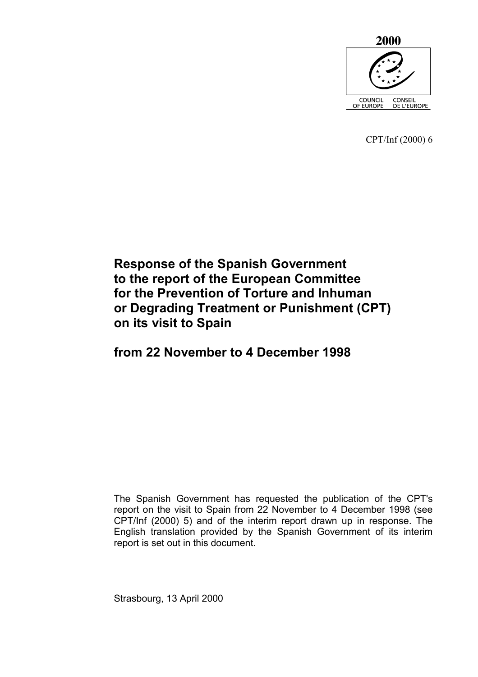

CPT/Inf (2000) 6

# **Response of the Spanish Government to the report of the European Committee for the Prevention of Torture and Inhuman or Degrading Treatment or Punishment (CPT) on its visit to Spain**

# **from 22 November to 4 December 1998**

The Spanish Government has requested the publication of the CPT's report on the visit to Spain from 22 November to 4 December 1998 (see CPT/Inf (2000) 5) and of the interim report drawn up in response. The English translation provided by the Spanish Government of its interim report is set out in this document.

Strasbourg, 13 April 2000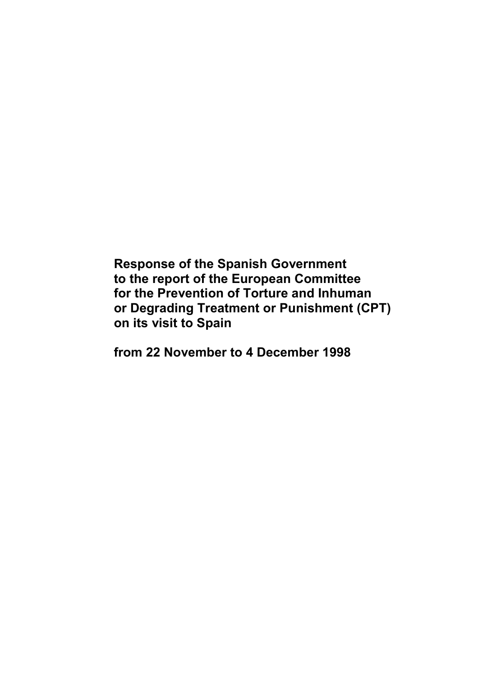**Response of the Spanish Government to the report of the European Committee for the Prevention of Torture and Inhuman or Degrading Treatment or Punishment (CPT) on its visit to Spain** 

**from 22 November to 4 December 1998**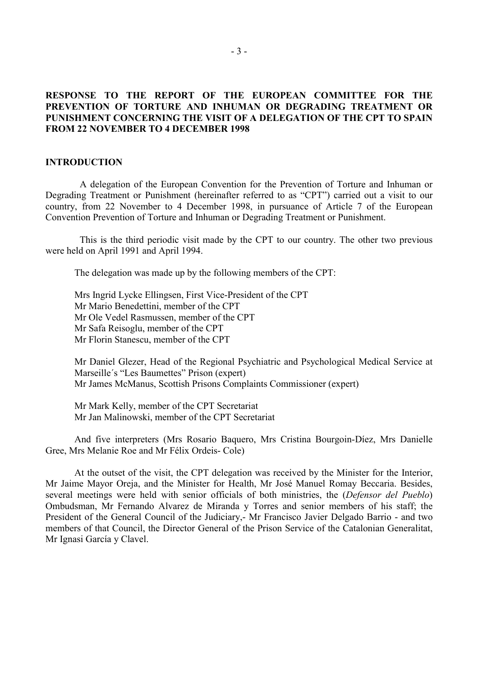# **RESPONSE TO THE REPORT OF THE EUROPEAN COMMITTEE FOR THE PREVENTION OF TORTURE AND INHUMAN OR DEGRADING TREATMENT OR PUNISHMENT CONCERNING THE VISIT OF A DELEGATION OF THE CPT TO SPAIN FROM 22 NOVEMBER TO 4 DECEMBER 1998**

### **INTRODUCTION**

 A delegation of the European Convention for the Prevention of Torture and Inhuman or Degrading Treatment or Punishment (hereinafter referred to as "CPT") carried out a visit to our country, from 22 November to 4 December 1998, in pursuance of Article 7 of the European Convention Prevention of Torture and Inhuman or Degrading Treatment or Punishment.

 This is the third periodic visit made by the CPT to our country. The other two previous were held on April 1991 and April 1994.

The delegation was made up by the following members of the CPT:

 Mrs Ingrid Lycke Ellingsen, First Vice-President of the CPT Mr Mario Benedettini, member of the CPT Mr Ole Vedel Rasmussen, member of the CPT Mr Safa Reisoglu, member of the CPT Mr Florin Stanescu, member of the CPT

Mr Daniel Glezer, Head of the Regional Psychiatric and Psychological Medical Service at Marseille´s "Les Baumettes" Prison (expert) Mr James McManus, Scottish Prisons Complaints Commissioner (expert)

Mr Mark Kelly, member of the CPT Secretariat Mr Jan Malinowski, member of the CPT Secretariat

 And five interpreters (Mrs Rosario Baquero, Mrs Cristina Bourgoin-Díez, Mrs Danielle Gree, Mrs Melanie Roe and Mr Félix Ordeis- Cole)

 At the outset of the visit, the CPT delegation was received by the Minister for the Interior, Mr Jaime Mayor Oreja, and the Minister for Health, Mr José Manuel Romay Beccaria. Besides, several meetings were held with senior officials of both ministries, the (*Defensor del Pueblo*) Ombudsman, Mr Fernando Alvarez de Miranda y Torres and senior members of his staff; the President of the General Council of the Judiciary,- Mr Francisco Javier Delgado Barrio - and two members of that Council, the Director General of the Prison Service of the Catalonian Generalitat, Mr Ignasi García y Clavel.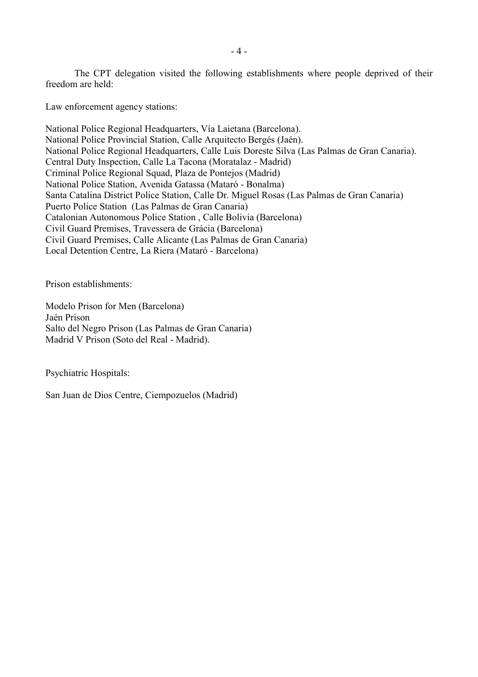The CPT delegation visited the following establishments where people deprived of their freedom are held:

Law enforcement agency stations:

National Police Regional Headquarters, Vía Laietana (Barcelona). National Police Provincial Station, Calle Arquitecto Bergés (Jaén). National Police Regional Headquarters, Calle Luis Doreste Silva (Las Palmas de Gran Canaria). Central Duty Inspection, Calle La Tacona (Moratalaz - Madrid) Criminal Police Regional Squad, Plaza de Pontejos (Madrid) National Police Station, Avenida Gatassa (Mataró - Bonalma) Santa Catalina District Police Station, Calle Dr. Miguel Rosas (Las Palmas de Gran Canaria) Puerto Police Station (Las Palmas de Gran Canaria) Catalonian Autonomous Police Station , Calle Bolivia (Barcelona) Civil Guard Premises, Travessera de Grácia (Barcelona) Civil Guard Premises, Calle Alicante (Las Palmas de Gran Canaria) Local Detention Centre, La Riera (Mataró - Barcelona)

Prison establishments:

Modelo Prison for Men (Barcelona) Jaén Prison Salto del Negro Prison (Las Palmas de Gran Canaria) Madrid V Prison (Soto del Real - Madrid).

Psychiatric Hospitals:

San Juan de Dios Centre, Ciempozuelos (Madrid)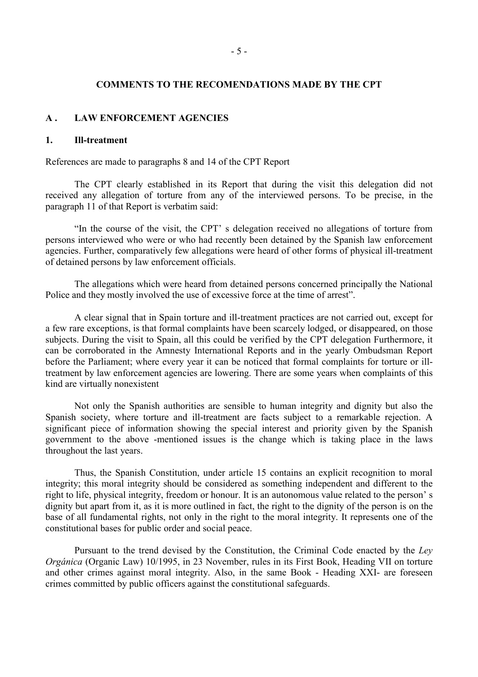### **COMMENTS TO THE RECOMENDATIONS MADE BY THE CPT**

### **A . LAW ENFORCEMENT AGENCIES**

# **1. Ill-treatment**

References are made to paragraphs 8 and 14 of the CPT Report

 The CPT clearly established in its Report that during the visit this delegation did not received any allegation of torture from any of the interviewed persons. To be precise, in the paragraph 11 of that Report is verbatim said:

 "In the course of the visit, the CPT' s delegation received no allegations of torture from persons interviewed who were or who had recently been detained by the Spanish law enforcement agencies. Further, comparatively few allegations were heard of other forms of physical ill-treatment of detained persons by law enforcement officials.

 The allegations which were heard from detained persons concerned principally the National Police and they mostly involved the use of excessive force at the time of arrest".

 A clear signal that in Spain torture and ill-treatment practices are not carried out, except for a few rare exceptions, is that formal complaints have been scarcely lodged, or disappeared, on those subjects. During the visit to Spain, all this could be verified by the CPT delegation Furthermore, it can be corroborated in the Amnesty International Reports and in the yearly Ombudsman Report before the Parliament; where every year it can be noticed that formal complaints for torture or illtreatment by law enforcement agencies are lowering. There are some years when complaints of this kind are virtually nonexistent

 Not only the Spanish authorities are sensible to human integrity and dignity but also the Spanish society, where torture and ill-treatment are facts subject to a remarkable rejection. A significant piece of information showing the special interest and priority given by the Spanish government to the above -mentioned issues is the change which is taking place in the laws throughout the last years.

 Thus, the Spanish Constitution, under article 15 contains an explicit recognition to moral integrity; this moral integrity should be considered as something independent and different to the right to life, physical integrity, freedom or honour. It is an autonomous value related to the person' s dignity but apart from it, as it is more outlined in fact, the right to the dignity of the person is on the base of all fundamental rights, not only in the right to the moral integrity. It represents one of the constitutional bases for public order and social peace.

 Pursuant to the trend devised by the Constitution, the Criminal Code enacted by the *Ley Orgánica* (Organic Law) 10/1995, in 23 November, rules in its First Book, Heading VII on torture and other crimes against moral integrity. Also, in the same Book - Heading XXI- are foreseen crimes committed by public officers against the constitutional safeguards.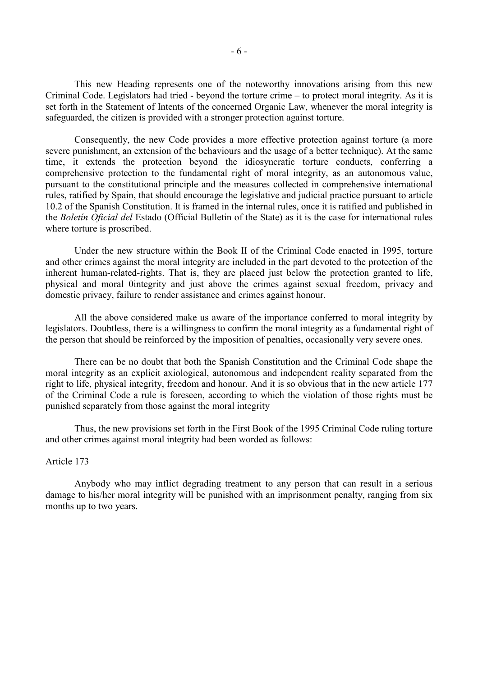This new Heading represents one of the noteworthy innovations arising from this new Criminal Code. Legislators had tried - beyond the torture crime – to protect moral integrity. As it is set forth in the Statement of Intents of the concerned Organic Law, whenever the moral integrity is safeguarded, the citizen is provided with a stronger protection against torture.

 Consequently, the new Code provides a more effective protection against torture (a more severe punishment, an extension of the behaviours and the usage of a better technique). At the same time, it extends the protection beyond the idiosyncratic torture conducts, conferring a comprehensive protection to the fundamental right of moral integrity, as an autonomous value, pursuant to the constitutional principle and the measures collected in comprehensive international rules, ratified by Spain, that should encourage the legislative and judicial practice pursuant to article 10.2 of the Spanish Constitution. It is framed in the internal rules, once it is ratified and published in the *Boletín Oficial del* Estado (Official Bulletin of the State) as it is the case for international rules where torture is proscribed.

 Under the new structure within the Book II of the Criminal Code enacted in 1995, torture and other crimes against the moral integrity are included in the part devoted to the protection of the inherent human-related-rights. That is, they are placed just below the protection granted to life, physical and moral 0integrity and just above the crimes against sexual freedom, privacy and domestic privacy, failure to render assistance and crimes against honour.

 All the above considered make us aware of the importance conferred to moral integrity by legislators. Doubtless, there is a willingness to confirm the moral integrity as a fundamental right of the person that should be reinforced by the imposition of penalties, occasionally very severe ones.

 There can be no doubt that both the Spanish Constitution and the Criminal Code shape the moral integrity as an explicit axiological, autonomous and independent reality separated from the right to life, physical integrity, freedom and honour. And it is so obvious that in the new article 177 of the Criminal Code a rule is foreseen, according to which the violation of those rights must be punished separately from those against the moral integrity

 Thus, the new provisions set forth in the First Book of the 1995 Criminal Code ruling torture and other crimes against moral integrity had been worded as follows:

# Article 173

 Anybody who may inflict degrading treatment to any person that can result in a serious damage to his/her moral integrity will be punished with an imprisonment penalty, ranging from six months up to two years.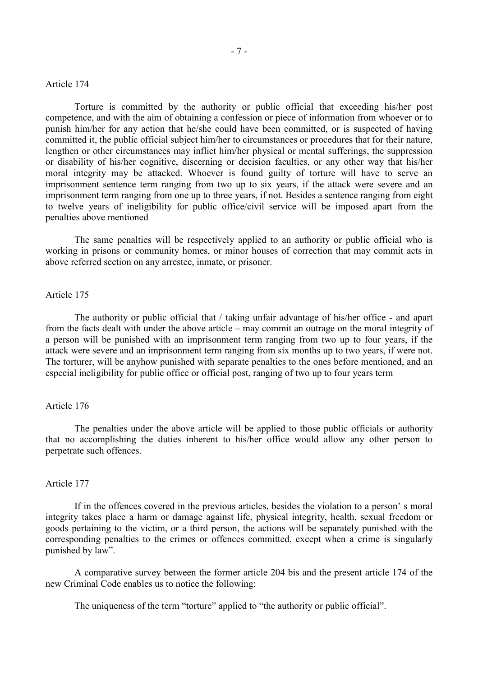### Article 174

 Torture is committed by the authority or public official that exceeding his/her post competence, and with the aim of obtaining a confession or piece of information from whoever or to punish him/her for any action that he/she could have been committed, or is suspected of having committed it, the public official subject him/her to circumstances or procedures that for their nature, lengthen or other circumstances may inflict him/her physical or mental sufferings, the suppression or disability of his/her cognitive, discerning or decision faculties, or any other way that his/her moral integrity may be attacked. Whoever is found guilty of torture will have to serve an imprisonment sentence term ranging from two up to six years, if the attack were severe and an imprisonment term ranging from one up to three years, if not. Besides a sentence ranging from eight to twelve years of ineligibility for public office/civil service will be imposed apart from the penalties above mentioned

 The same penalties will be respectively applied to an authority or public official who is working in prisons or community homes, or minor houses of correction that may commit acts in above referred section on any arrestee, inmate, or prisoner.

### Article 175

 The authority or public official that / taking unfair advantage of his/her office - and apart from the facts dealt with under the above article – may commit an outrage on the moral integrity of a person will be punished with an imprisonment term ranging from two up to four years, if the attack were severe and an imprisonment term ranging from six months up to two years, if were not. The torturer, will be anyhow punished with separate penalties to the ones before mentioned, and an especial ineligibility for public office or official post, ranging of two up to four years term

#### Article 176

 The penalties under the above article will be applied to those public officials or authority that no accomplishing the duties inherent to his/her office would allow any other person to perpetrate such offences.

### Article 177

 If in the offences covered in the previous articles, besides the violation to a person' s moral integrity takes place a harm or damage against life, physical integrity, health, sexual freedom or goods pertaining to the victim, or a third person, the actions will be separately punished with the corresponding penalties to the crimes or offences committed, except when a crime is singularly punished by law".

 A comparative survey between the former article 204 bis and the present article 174 of the new Criminal Code enables us to notice the following:

The uniqueness of the term "torture" applied to "the authority or public official".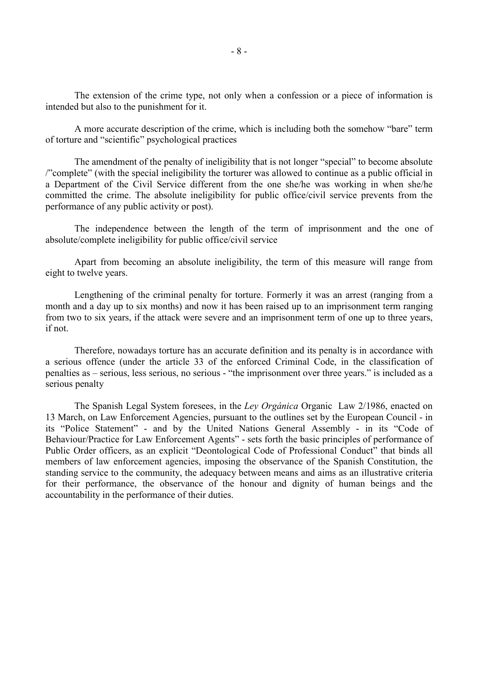The extension of the crime type, not only when a confession or a piece of information is intended but also to the punishment for it.

 A more accurate description of the crime, which is including both the somehow "bare" term of torture and "scientific" psychological practices

 The amendment of the penalty of ineligibility that is not longer "special" to become absolute /"complete" (with the special ineligibility the torturer was allowed to continue as a public official in a Department of the Civil Service different from the one she/he was working in when she/he committed the crime. The absolute ineligibility for public office/civil service prevents from the performance of any public activity or post).

 The independence between the length of the term of imprisonment and the one of absolute/complete ineligibility for public office/civil service

 Apart from becoming an absolute ineligibility, the term of this measure will range from eight to twelve years.

 Lengthening of the criminal penalty for torture. Formerly it was an arrest (ranging from a month and a day up to six months) and now it has been raised up to an imprisonment term ranging from two to six years, if the attack were severe and an imprisonment term of one up to three years, if not.

 Therefore, nowadays torture has an accurate definition and its penalty is in accordance with a serious offence (under the article 33 of the enforced Criminal Code, in the classification of penalties as – serious, less serious, no serious - "the imprisonment over three years." is included as a serious penalty

 The Spanish Legal System foresees, in the *Ley Orgánica* Organic Law 2/1986, enacted on 13 March, on Law Enforcement Agencies, pursuant to the outlines set by the European Council - in its "Police Statement" - and by the United Nations General Assembly - in its "Code of Behaviour/Practice for Law Enforcement Agents" - sets forth the basic principles of performance of Public Order officers, as an explicit "Deontological Code of Professional Conduct" that binds all members of law enforcement agencies, imposing the observance of the Spanish Constitution, the standing service to the community, the adequacy between means and aims as an illustrative criteria for their performance, the observance of the honour and dignity of human beings and the accountability in the performance of their duties.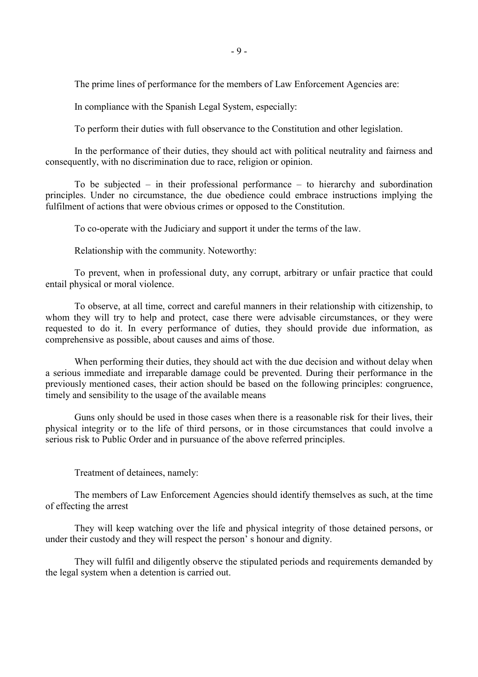The prime lines of performance for the members of Law Enforcement Agencies are:

In compliance with the Spanish Legal System, especially:

To perform their duties with full observance to the Constitution and other legislation.

 In the performance of their duties, they should act with political neutrality and fairness and consequently, with no discrimination due to race, religion or opinion.

 To be subjected – in their professional performance – to hierarchy and subordination principles. Under no circumstance, the due obedience could embrace instructions implying the fulfilment of actions that were obvious crimes or opposed to the Constitution.

To co-operate with the Judiciary and support it under the terms of the law.

Relationship with the community. Noteworthy:

 To prevent, when in professional duty, any corrupt, arbitrary or unfair practice that could entail physical or moral violence.

 To observe, at all time, correct and careful manners in their relationship with citizenship, to whom they will try to help and protect, case there were advisable circumstances, or they were requested to do it. In every performance of duties, they should provide due information, as comprehensive as possible, about causes and aims of those.

 When performing their duties, they should act with the due decision and without delay when a serious immediate and irreparable damage could be prevented. During their performance in the previously mentioned cases, their action should be based on the following principles: congruence, timely and sensibility to the usage of the available means

 Guns only should be used in those cases when there is a reasonable risk for their lives, their physical integrity or to the life of third persons, or in those circumstances that could involve a serious risk to Public Order and in pursuance of the above referred principles.

Treatment of detainees, namely:

 The members of Law Enforcement Agencies should identify themselves as such, at the time of effecting the arrest

 They will keep watching over the life and physical integrity of those detained persons, or under their custody and they will respect the person' s honour and dignity.

 They will fulfil and diligently observe the stipulated periods and requirements demanded by the legal system when a detention is carried out.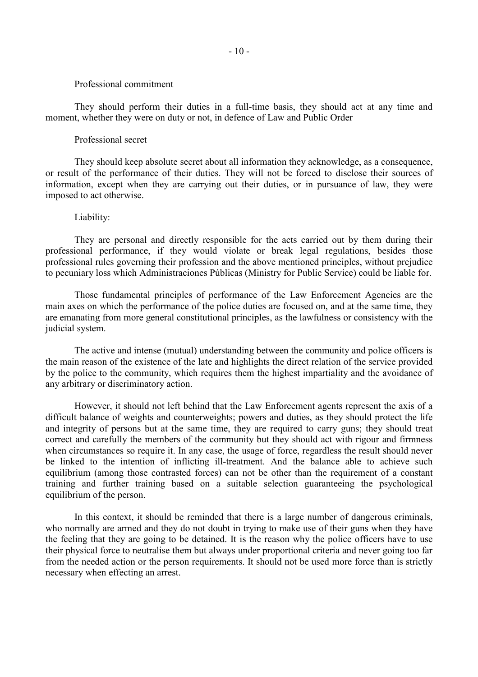#### Professional commitment

 They should perform their duties in a full-time basis, they should act at any time and moment, whether they were on duty or not, in defence of Law and Public Order

### Professional secret

 They should keep absolute secret about all information they acknowledge, as a consequence, or result of the performance of their duties. They will not be forced to disclose their sources of information, except when they are carrying out their duties, or in pursuance of law, they were imposed to act otherwise.

# Liability:

 They are personal and directly responsible for the acts carried out by them during their professional performance, if they would violate or break legal regulations, besides those professional rules governing their profession and the above mentioned principles, without prejudice to pecuniary loss which Administraciones Públicas (Ministry for Public Service) could be liable for.

 Those fundamental principles of performance of the Law Enforcement Agencies are the main axes on which the performance of the police duties are focused on, and at the same time, they are emanating from more general constitutional principles, as the lawfulness or consistency with the judicial system.

 The active and intense (mutual) understanding between the community and police officers is the main reason of the existence of the late and highlights the direct relation of the service provided by the police to the community, which requires them the highest impartiality and the avoidance of any arbitrary or discriminatory action.

 However, it should not left behind that the Law Enforcement agents represent the axis of a difficult balance of weights and counterweights; powers and duties, as they should protect the life and integrity of persons but at the same time, they are required to carry guns; they should treat correct and carefully the members of the community but they should act with rigour and firmness when circumstances so require it. In any case, the usage of force, regardless the result should never be linked to the intention of inflicting ill-treatment. And the balance able to achieve such equilibrium (among those contrasted forces) can not be other than the requirement of a constant training and further training based on a suitable selection guaranteeing the psychological equilibrium of the person.

 In this context, it should be reminded that there is a large number of dangerous criminals, who normally are armed and they do not doubt in trying to make use of their guns when they have the feeling that they are going to be detained. It is the reason why the police officers have to use their physical force to neutralise them but always under proportional criteria and never going too far from the needed action or the person requirements. It should not be used more force than is strictly necessary when effecting an arrest.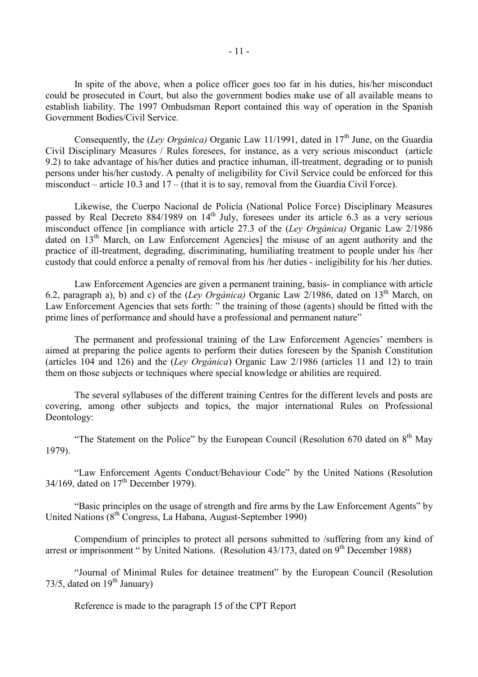In spite of the above, when a police officer goes too far in his duties, his/her misconduct could be prosecuted in Court, but also the government bodies make use of all available means to establish liability. The 1997 Ombudsman Report contained this way of operation in the Spanish Government Bodies/Civil Service.

Consequently, the *(Ley Orgánica)* Organic Law 11/1991, dated in 17<sup>th</sup> June, on the Guardia Civil Disciplinary Measures / Rules foresees, for instance, as a very serious misconduct (article 9.2) to take advantage of his/her duties and practice inhuman, ill-treatment, degrading or to punish persons under his/her custody. A penalty of ineligibility for Civil Service could be enforced for this misconduct – article 10.3 and 17 – (that it is to say, removal from the Guardia Civil Force).

 Likewise, the Cuerpo Nacional de Policía (National Police Force) Disciplinary Measures passed by Real Decreto  $884/1989$  on  $14<sup>th</sup>$  July, foresees under its article 6.3 as a very serious misconduct offence [in compliance with article 27.3 of the (*Ley Orgánica)* Organic Law 2/1986 dated on 13<sup>th</sup> March, on Law Enforcement Agencies] the misuse of an agent authority and the practice of ill-treatment, degrading, discriminating, humiliating treatment to people under his /her custody that could enforce a penalty of removal from his /her duties - ineligibility for his /her duties.

 Law Enforcement Agencies are given a permanent training, basis- in compliance with article 6.2, paragraph a), b) and c) of the (*Ley Orgánica)* Organic Law 2/1986, dated on 13th March, on Law Enforcement Agencies that sets forth: " the training of those (agents) should be fitted with the prime lines of performance and should have a professional and permanent nature"

 The permanent and professional training of the Law Enforcement Agencies' members is aimed at preparing the police agents to perform their duties foreseen by the Spanish Constitution (articles 104 and 126) and the (*Ley Orgánica*) Organic Law 2/1986 (articles 11 and 12) to train them on those subjects or techniques where special knowledge or abilities are required.

 The several syllabuses of the different training Centres for the different levels and posts are covering, among other subjects and topics, the major international Rules on Professional Deontology:

"The Statement on the Police" by the European Council (Resolution 670 dated on  $8<sup>th</sup>$  May 1979).

 "Law Enforcement Agents Conduct/Behaviour Code" by the United Nations (Resolution  $34/169$ , dated on  $17<sup>th</sup>$  December 1979).

 "Basic principles on the usage of strength and fire arms by the Law Enforcement Agents" by United Nations  $(8^{th}$  Congress, La Habana, August-September 1990)

 Compendium of principles to protect all persons submitted to /suffering from any kind of arrest or imprisonment " by United Nations. (Resolution 43/173, dated on 9<sup>th</sup> December 1988)

 "Journal of Minimal Rules for detainee treatment" by the European Council (Resolution 73/5, dated on  $19^{th}$  January)

Reference is made to the paragraph 15 of the CPT Report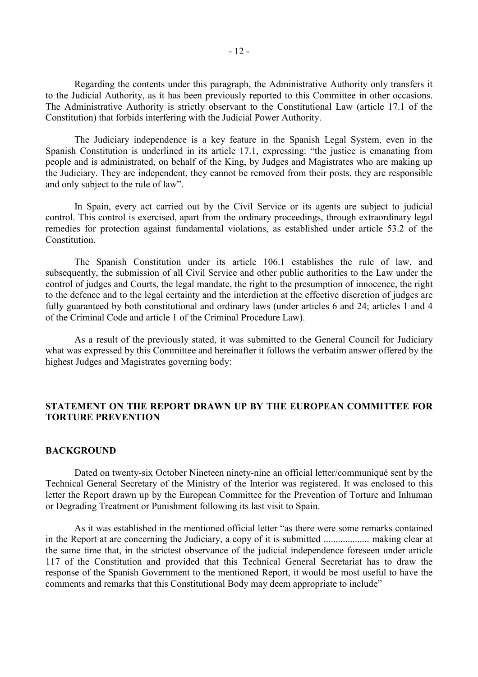Regarding the contents under this paragraph, the Administrative Authority only transfers it to the Judicial Authority, as it has been previously reported to this Committee in other occasions. The Administrative Authority is strictly observant to the Constitutional Law (article 17.1 of the Constitution) that forbids interfering with the Judicial Power Authority.

 The Judiciary independence is a key feature in the Spanish Legal System, even in the Spanish Constitution is underlined in its article 17.1, expressing: "the justice is emanating from people and is administrated, on behalf of the King, by Judges and Magistrates who are making up the Judiciary. They are independent, they cannot be removed from their posts, they are responsible and only subject to the rule of law".

 In Spain, every act carried out by the Civil Service or its agents are subject to judicial control. This control is exercised, apart from the ordinary proceedings, through extraordinary legal remedies for protection against fundamental violations, as established under article 53.2 of the **Constitution** 

 The Spanish Constitution under its article 106.1 establishes the rule of law, and subsequently, the submission of all Civil Service and other public authorities to the Law under the control of judges and Courts, the legal mandate, the right to the presumption of innocence, the right to the defence and to the legal certainty and the interdiction at the effective discretion of judges are fully guaranteed by both constitutional and ordinary laws (under articles 6 and 24; articles 1 and 4 of the Criminal Code and article 1 of the Criminal Procedure Law).

 As a result of the previously stated, it was submitted to the General Council for Judiciary what was expressed by this Committee and hereinafter it follows the verbatim answer offered by the highest Judges and Magistrates governing body:

# **STATEMENT ON THE REPORT DRAWN UP BY THE EUROPEAN COMMITTEE FOR TORTURE PREVENTION**

### **BACKGROUND**

 Dated on twenty-six October Nineteen ninety-nine an official letter/communiqué sent by the Technical General Secretary of the Ministry of the Interior was registered. It was enclosed to this letter the Report drawn up by the European Committee for the Prevention of Torture and Inhuman or Degrading Treatment or Punishment following its last visit to Spain.

 As it was established in the mentioned official letter "as there were some remarks contained in the Report at are concerning the Judiciary, a copy of it is submitted ................... making clear at the same time that, in the strictest observance of the judicial independence foreseen under article 117 of the Constitution and provided that this Technical General Secretariat has to draw the response of the Spanish Government to the mentioned Report, it would be most useful to have the comments and remarks that this Constitutional Body may deem appropriate to include"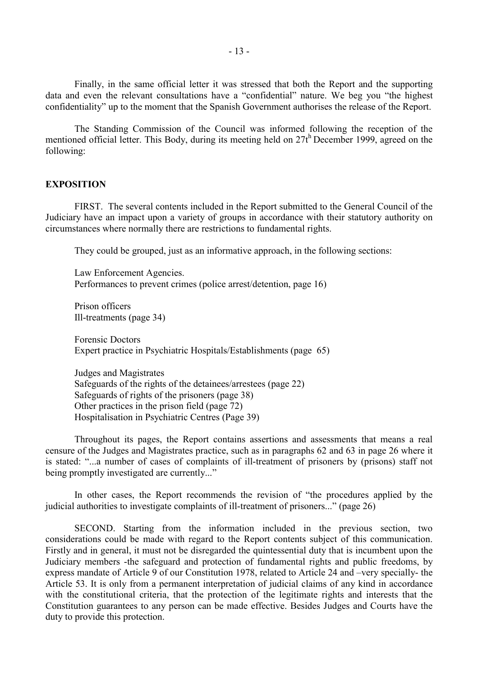Finally, in the same official letter it was stressed that both the Report and the supporting data and even the relevant consultations have a "confidential" nature. We beg you "the highest confidentiality" up to the moment that the Spanish Government authorises the release of the Report.

 The Standing Commission of the Council was informed following the reception of the mentioned official letter. This Body, during its meeting held on 27<sup>th</sup> December 1999, agreed on the following:

### **EXPOSITION**

FIRST. The several contents included in the Report submitted to the General Council of the Judiciary have an impact upon a variety of groups in accordance with their statutory authority on circumstances where normally there are restrictions to fundamental rights.

They could be grouped, just as an informative approach, in the following sections:

 Law Enforcement Agencies. Performances to prevent crimes (police arrest/detention, page 16)

 Prison officers Ill-treatments (page 34)

 Forensic Doctors Expert practice in Psychiatric Hospitals/Establishments (page 65)

 Judges and Magistrates Safeguards of the rights of the detainees/arrestees (page 22) Safeguards of rights of the prisoners (page 38) Other practices in the prison field (page 72) Hospitalisation in Psychiatric Centres (Page 39)

 Throughout its pages, the Report contains assertions and assessments that means a real censure of the Judges and Magistrates practice, such as in paragraphs 62 and 63 in page 26 where it is stated: "...a number of cases of complaints of ill-treatment of prisoners by (prisons) staff not being promptly investigated are currently..."

 In other cases, the Report recommends the revision of "the procedures applied by the judicial authorities to investigate complaints of ill-treatment of prisoners..." (page 26)

 SECOND. Starting from the information included in the previous section, two considerations could be made with regard to the Report contents subject of this communication. Firstly and in general, it must not be disregarded the quintessential duty that is incumbent upon the Judiciary members -the safeguard and protection of fundamental rights and public freedoms, by express mandate of Article 9 of our Constitution 1978, related to Article 24 and –very specially- the Article 53. It is only from a permanent interpretation of judicial claims of any kind in accordance with the constitutional criteria, that the protection of the legitimate rights and interests that the Constitution guarantees to any person can be made effective. Besides Judges and Courts have the duty to provide this protection.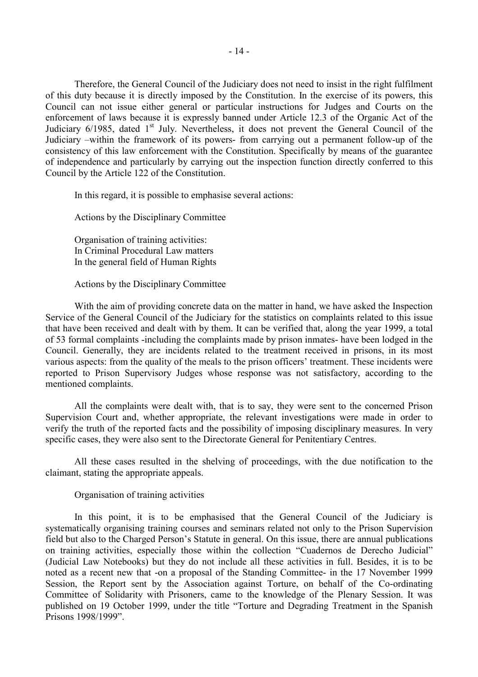Therefore, the General Council of the Judiciary does not need to insist in the right fulfilment of this duty because it is directly imposed by the Constitution. In the exercise of its powers, this Council can not issue either general or particular instructions for Judges and Courts on the enforcement of laws because it is expressly banned under Article 12.3 of the Organic Act of the Judiciary  $6/1985$ , dated  $1<sup>st</sup>$  July. Nevertheless, it does not prevent the General Council of the Judiciary –within the framework of its powers- from carrying out a permanent follow-up of the consistency of this law enforcement with the Constitution. Specifically by means of the guarantee of independence and particularly by carrying out the inspection function directly conferred to this Council by the Article 122 of the Constitution.

In this regard, it is possible to emphasise several actions:

Actions by the Disciplinary Committee

Organisation of training activities: In Criminal Procedural Law matters In the general field of Human Rights

Actions by the Disciplinary Committee

 With the aim of providing concrete data on the matter in hand, we have asked the Inspection Service of the General Council of the Judiciary for the statistics on complaints related to this issue that have been received and dealt with by them. It can be verified that, along the year 1999, a total of 53 formal complaints -including the complaints made by prison inmates- have been lodged in the Council. Generally, they are incidents related to the treatment received in prisons, in its most various aspects: from the quality of the meals to the prison officers' treatment. These incidents were reported to Prison Supervisory Judges whose response was not satisfactory, according to the mentioned complaints.

 All the complaints were dealt with, that is to say, they were sent to the concerned Prison Supervision Court and, whether appropriate, the relevant investigations were made in order to verify the truth of the reported facts and the possibility of imposing disciplinary measures. In very specific cases, they were also sent to the Directorate General for Penitentiary Centres.

 All these cases resulted in the shelving of proceedings, with the due notification to the claimant, stating the appropriate appeals.

### Organisation of training activities

 In this point, it is to be emphasised that the General Council of the Judiciary is systematically organising training courses and seminars related not only to the Prison Supervision field but also to the Charged Person's Statute in general. On this issue, there are annual publications on training activities, especially those within the collection "Cuadernos de Derecho Judicial" (Judicial Law Notebooks) but they do not include all these activities in full. Besides, it is to be noted as a recent new that -on a proposal of the Standing Committee- in the 17 November 1999 Session, the Report sent by the Association against Torture, on behalf of the Co-ordinating Committee of Solidarity with Prisoners, came to the knowledge of the Plenary Session. It was published on 19 October 1999, under the title "Torture and Degrading Treatment in the Spanish Prisons 1998/1999".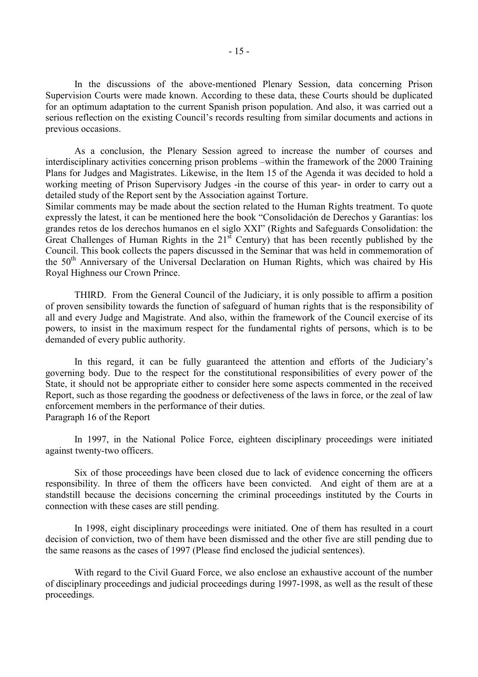In the discussions of the above-mentioned Plenary Session, data concerning Prison Supervision Courts were made known. According to these data, these Courts should be duplicated for an optimum adaptation to the current Spanish prison population. And also, it was carried out a serious reflection on the existing Council's records resulting from similar documents and actions in previous occasions.

 As a conclusion, the Plenary Session agreed to increase the number of courses and interdisciplinary activities concerning prison problems –within the framework of the 2000 Training Plans for Judges and Magistrates. Likewise, in the Item 15 of the Agenda it was decided to hold a working meeting of Prison Supervisory Judges -in the course of this year- in order to carry out a detailed study of the Report sent by the Association against Torture.

Similar comments may be made about the section related to the Human Rights treatment. To quote expressly the latest, it can be mentioned here the book "Consolidación de Derechos y Garantías: los grandes retos de los derechos humanos en el siglo XXI" (Rights and Safeguards Consolidation: the Great Challenges of Human Rights in the  $21<sup>st</sup>$  Century) that has been recently published by the Council. This book collects the papers discussed in the Seminar that was held in commemoration of the 50<sup>th</sup> Anniversary of the Universal Declaration on Human Rights, which was chaired by His Royal Highness our Crown Prince.

 THIRD. From the General Council of the Judiciary, it is only possible to affirm a position of proven sensibility towards the function of safeguard of human rights that is the responsibility of all and every Judge and Magistrate. And also, within the framework of the Council exercise of its powers, to insist in the maximum respect for the fundamental rights of persons, which is to be demanded of every public authority.

 In this regard, it can be fully guaranteed the attention and efforts of the Judiciary's governing body. Due to the respect for the constitutional responsibilities of every power of the State, it should not be appropriate either to consider here some aspects commented in the received Report, such as those regarding the goodness or defectiveness of the laws in force, or the zeal of law enforcement members in the performance of their duties. Paragraph 16 of the Report

 In 1997, in the National Police Force, eighteen disciplinary proceedings were initiated against twenty-two officers.

 Six of those proceedings have been closed due to lack of evidence concerning the officers responsibility. In three of them the officers have been convicted. And eight of them are at a standstill because the decisions concerning the criminal proceedings instituted by the Courts in connection with these cases are still pending.

 In 1998, eight disciplinary proceedings were initiated. One of them has resulted in a court decision of conviction, two of them have been dismissed and the other five are still pending due to the same reasons as the cases of 1997 (Please find enclosed the judicial sentences).

 With regard to the Civil Guard Force, we also enclose an exhaustive account of the number of disciplinary proceedings and judicial proceedings during 1997-1998, as well as the result of these proceedings.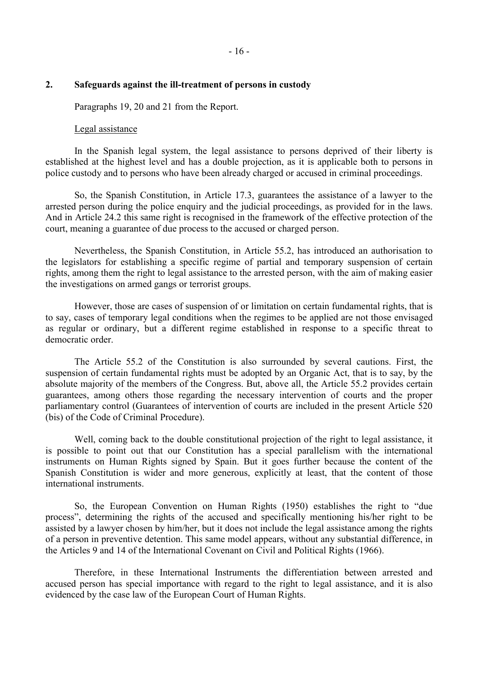### **2. Safeguards against the ill-treatment of persons in custody**

Paragraphs 19, 20 and 21 from the Report.

### Legal assistance

 In the Spanish legal system, the legal assistance to persons deprived of their liberty is established at the highest level and has a double projection, as it is applicable both to persons in police custody and to persons who have been already charged or accused in criminal proceedings.

 So, the Spanish Constitution, in Article 17.3, guarantees the assistance of a lawyer to the arrested person during the police enquiry and the judicial proceedings, as provided for in the laws. And in Article 24.2 this same right is recognised in the framework of the effective protection of the court, meaning a guarantee of due process to the accused or charged person.

 Nevertheless, the Spanish Constitution, in Article 55.2, has introduced an authorisation to the legislators for establishing a specific regime of partial and temporary suspension of certain rights, among them the right to legal assistance to the arrested person, with the aim of making easier the investigations on armed gangs or terrorist groups.

 However, those are cases of suspension of or limitation on certain fundamental rights, that is to say, cases of temporary legal conditions when the regimes to be applied are not those envisaged as regular or ordinary, but a different regime established in response to a specific threat to democratic order.

 The Article 55.2 of the Constitution is also surrounded by several cautions. First, the suspension of certain fundamental rights must be adopted by an Organic Act, that is to say, by the absolute majority of the members of the Congress. But, above all, the Article 55.2 provides certain guarantees, among others those regarding the necessary intervention of courts and the proper parliamentary control (Guarantees of intervention of courts are included in the present Article 520 (bis) of the Code of Criminal Procedure).

 Well, coming back to the double constitutional projection of the right to legal assistance, it is possible to point out that our Constitution has a special parallelism with the international instruments on Human Rights signed by Spain. But it goes further because the content of the Spanish Constitution is wider and more generous, explicitly at least, that the content of those international instruments.

 So, the European Convention on Human Rights (1950) establishes the right to "due process", determining the rights of the accused and specifically mentioning his/her right to be assisted by a lawyer chosen by him/her, but it does not include the legal assistance among the rights of a person in preventive detention. This same model appears, without any substantial difference, in the Articles 9 and 14 of the International Covenant on Civil and Political Rights (1966).

 Therefore, in these International Instruments the differentiation between arrested and accused person has special importance with regard to the right to legal assistance, and it is also evidenced by the case law of the European Court of Human Rights.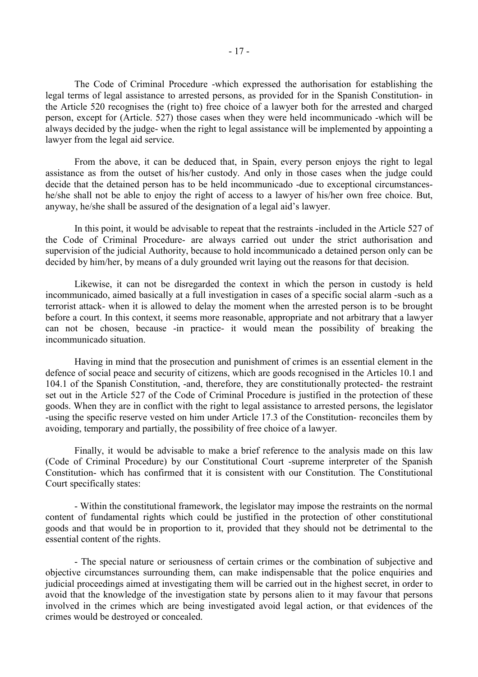The Code of Criminal Procedure -which expressed the authorisation for establishing the legal terms of legal assistance to arrested persons, as provided for in the Spanish Constitution- in the Article 520 recognises the (right to) free choice of a lawyer both for the arrested and charged person, except for (Article. 527) those cases when they were held incommunicado -which will be always decided by the judge- when the right to legal assistance will be implemented by appointing a lawyer from the legal aid service.

 From the above, it can be deduced that, in Spain, every person enjoys the right to legal assistance as from the outset of his/her custody. And only in those cases when the judge could decide that the detained person has to be held incommunicado -due to exceptional circumstanceshe/she shall not be able to enjoy the right of access to a lawyer of his/her own free choice. But, anyway, he/she shall be assured of the designation of a legal aid's lawyer.

 In this point, it would be advisable to repeat that the restraints -included in the Article 527 of the Code of Criminal Procedure- are always carried out under the strict authorisation and supervision of the judicial Authority, because to hold incommunicado a detained person only can be decided by him/her, by means of a duly grounded writ laying out the reasons for that decision.

 Likewise, it can not be disregarded the context in which the person in custody is held incommunicado, aimed basically at a full investigation in cases of a specific social alarm -such as a terrorist attack- when it is allowed to delay the moment when the arrested person is to be brought before a court. In this context, it seems more reasonable, appropriate and not arbitrary that a lawyer can not be chosen, because -in practice- it would mean the possibility of breaking the incommunicado situation.

 Having in mind that the prosecution and punishment of crimes is an essential element in the defence of social peace and security of citizens, which are goods recognised in the Articles 10.1 and 104.1 of the Spanish Constitution, -and, therefore, they are constitutionally protected- the restraint set out in the Article 527 of the Code of Criminal Procedure is justified in the protection of these goods. When they are in conflict with the right to legal assistance to arrested persons, the legislator -using the specific reserve vested on him under Article 17.3 of the Constitution- reconciles them by avoiding, temporary and partially, the possibility of free choice of a lawyer.

 Finally, it would be advisable to make a brief reference to the analysis made on this law (Code of Criminal Procedure) by our Constitutional Court -supreme interpreter of the Spanish Constitution- which has confirmed that it is consistent with our Constitution. The Constitutional Court specifically states:

 - Within the constitutional framework, the legislator may impose the restraints on the normal content of fundamental rights which could be justified in the protection of other constitutional goods and that would be in proportion to it, provided that they should not be detrimental to the essential content of the rights.

 - The special nature or seriousness of certain crimes or the combination of subjective and objective circumstances surrounding them, can make indispensable that the police enquiries and judicial proceedings aimed at investigating them will be carried out in the highest secret, in order to avoid that the knowledge of the investigation state by persons alien to it may favour that persons involved in the crimes which are being investigated avoid legal action, or that evidences of the crimes would be destroyed or concealed.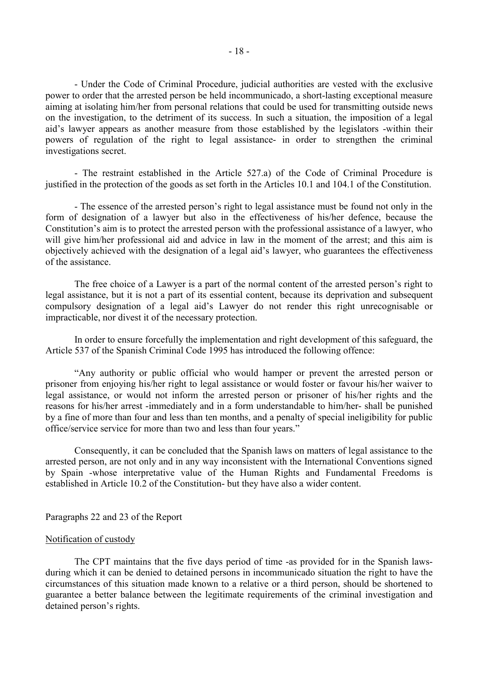- Under the Code of Criminal Procedure, judicial authorities are vested with the exclusive power to order that the arrested person be held incommunicado, a short-lasting exceptional measure aiming at isolating him/her from personal relations that could be used for transmitting outside news on the investigation, to the detriment of its success. In such a situation, the imposition of a legal aid's lawyer appears as another measure from those established by the legislators -within their powers of regulation of the right to legal assistance- in order to strengthen the criminal investigations secret.

 - The restraint established in the Article 527.a) of the Code of Criminal Procedure is justified in the protection of the goods as set forth in the Articles 10.1 and 104.1 of the Constitution.

 - The essence of the arrested person's right to legal assistance must be found not only in the form of designation of a lawyer but also in the effectiveness of his/her defence, because the Constitution's aim is to protect the arrested person with the professional assistance of a lawyer, who will give him/her professional aid and advice in law in the moment of the arrest; and this aim is objectively achieved with the designation of a legal aid's lawyer, who guarantees the effectiveness of the assistance.

 The free choice of a Lawyer is a part of the normal content of the arrested person's right to legal assistance, but it is not a part of its essential content, because its deprivation and subsequent compulsory designation of a legal aid's Lawyer do not render this right unrecognisable or impracticable, nor divest it of the necessary protection.

 In order to ensure forcefully the implementation and right development of this safeguard, the Article 537 of the Spanish Criminal Code 1995 has introduced the following offence:

 "Any authority or public official who would hamper or prevent the arrested person or prisoner from enjoying his/her right to legal assistance or would foster or favour his/her waiver to legal assistance, or would not inform the arrested person or prisoner of his/her rights and the reasons for his/her arrest -immediately and in a form understandable to him/her- shall be punished by a fine of more than four and less than ten months, and a penalty of special ineligibility for public office/service service for more than two and less than four years."

 Consequently, it can be concluded that the Spanish laws on matters of legal assistance to the arrested person, are not only and in any way inconsistent with the International Conventions signed by Spain -whose interpretative value of the Human Rights and Fundamental Freedoms is established in Article 10.2 of the Constitution- but they have also a wider content.

#### Paragraphs 22 and 23 of the Report

### Notification of custody

 The CPT maintains that the five days period of time -as provided for in the Spanish lawsduring which it can be denied to detained persons in incommunicado situation the right to have the circumstances of this situation made known to a relative or a third person, should be shortened to guarantee a better balance between the legitimate requirements of the criminal investigation and detained person's rights.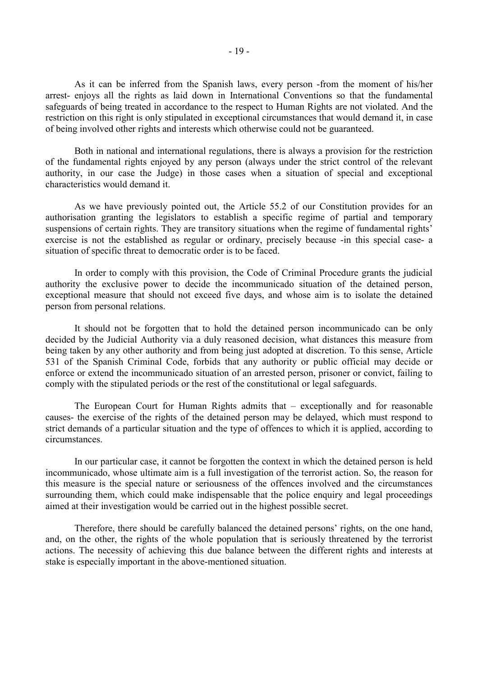As it can be inferred from the Spanish laws, every person -from the moment of his/her arrest- enjoys all the rights as laid down in International Conventions so that the fundamental safeguards of being treated in accordance to the respect to Human Rights are not violated. And the restriction on this right is only stipulated in exceptional circumstances that would demand it, in case of being involved other rights and interests which otherwise could not be guaranteed.

 Both in national and international regulations, there is always a provision for the restriction of the fundamental rights enjoyed by any person (always under the strict control of the relevant authority, in our case the Judge) in those cases when a situation of special and exceptional characteristics would demand it.

 As we have previously pointed out, the Article 55.2 of our Constitution provides for an authorisation granting the legislators to establish a specific regime of partial and temporary suspensions of certain rights. They are transitory situations when the regime of fundamental rights' exercise is not the established as regular or ordinary, precisely because -in this special case- a situation of specific threat to democratic order is to be faced.

 In order to comply with this provision, the Code of Criminal Procedure grants the judicial authority the exclusive power to decide the incommunicado situation of the detained person, exceptional measure that should not exceed five days, and whose aim is to isolate the detained person from personal relations.

 It should not be forgotten that to hold the detained person incommunicado can be only decided by the Judicial Authority via a duly reasoned decision, what distances this measure from being taken by any other authority and from being just adopted at discretion. To this sense, Article 531 of the Spanish Criminal Code, forbids that any authority or public official may decide or enforce or extend the incommunicado situation of an arrested person, prisoner or convict, failing to comply with the stipulated periods or the rest of the constitutional or legal safeguards.

 The European Court for Human Rights admits that – exceptionally and for reasonable causes- the exercise of the rights of the detained person may be delayed, which must respond to strict demands of a particular situation and the type of offences to which it is applied, according to circumstances.

 In our particular case, it cannot be forgotten the context in which the detained person is held incommunicado, whose ultimate aim is a full investigation of the terrorist action. So, the reason for this measure is the special nature or seriousness of the offences involved and the circumstances surrounding them, which could make indispensable that the police enquiry and legal proceedings aimed at their investigation would be carried out in the highest possible secret.

 Therefore, there should be carefully balanced the detained persons' rights, on the one hand, and, on the other, the rights of the whole population that is seriously threatened by the terrorist actions. The necessity of achieving this due balance between the different rights and interests at stake is especially important in the above-mentioned situation.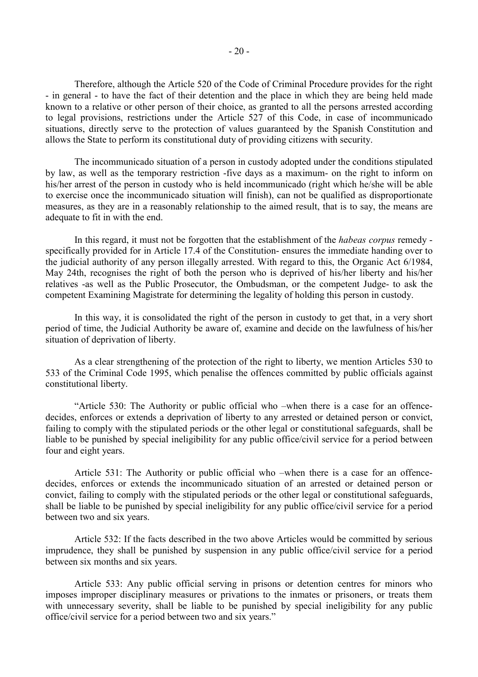Therefore, although the Article 520 of the Code of Criminal Procedure provides for the right - in general - to have the fact of their detention and the place in which they are being held made known to a relative or other person of their choice, as granted to all the persons arrested according to legal provisions, restrictions under the Article 527 of this Code, in case of incommunicado situations, directly serve to the protection of values guaranteed by the Spanish Constitution and allows the State to perform its constitutional duty of providing citizens with security.

 The incommunicado situation of a person in custody adopted under the conditions stipulated by law, as well as the temporary restriction -five days as a maximum- on the right to inform on his/her arrest of the person in custody who is held incommunicado (right which he/she will be able to exercise once the incommunicado situation will finish), can not be qualified as disproportionate measures, as they are in a reasonably relationship to the aimed result, that is to say, the means are adequate to fit in with the end.

 In this regard, it must not be forgotten that the establishment of the *habeas corpus* remedy specifically provided for in Article 17.4 of the Constitution- ensures the immediate handing over to the judicial authority of any person illegally arrested. With regard to this, the Organic Act 6/1984, May 24th, recognises the right of both the person who is deprived of his/her liberty and his/her relatives -as well as the Public Prosecutor, the Ombudsman, or the competent Judge- to ask the competent Examining Magistrate for determining the legality of holding this person in custody.

 In this way, it is consolidated the right of the person in custody to get that, in a very short period of time, the Judicial Authority be aware of, examine and decide on the lawfulness of his/her situation of deprivation of liberty.

 As a clear strengthening of the protection of the right to liberty, we mention Articles 530 to 533 of the Criminal Code 1995, which penalise the offences committed by public officials against constitutional liberty.

 "Article 530: The Authority or public official who –when there is a case for an offencedecides, enforces or extends a deprivation of liberty to any arrested or detained person or convict, failing to comply with the stipulated periods or the other legal or constitutional safeguards, shall be liable to be punished by special ineligibility for any public office/civil service for a period between four and eight years.

 Article 531: The Authority or public official who –when there is a case for an offencedecides, enforces or extends the incommunicado situation of an arrested or detained person or convict, failing to comply with the stipulated periods or the other legal or constitutional safeguards, shall be liable to be punished by special ineligibility for any public office/civil service for a period between two and six years.

 Article 532: If the facts described in the two above Articles would be committed by serious imprudence, they shall be punished by suspension in any public office/civil service for a period between six months and six years.

 Article 533: Any public official serving in prisons or detention centres for minors who imposes improper disciplinary measures or privations to the inmates or prisoners, or treats them with unnecessary severity, shall be liable to be punished by special ineligibility for any public office/civil service for a period between two and six years."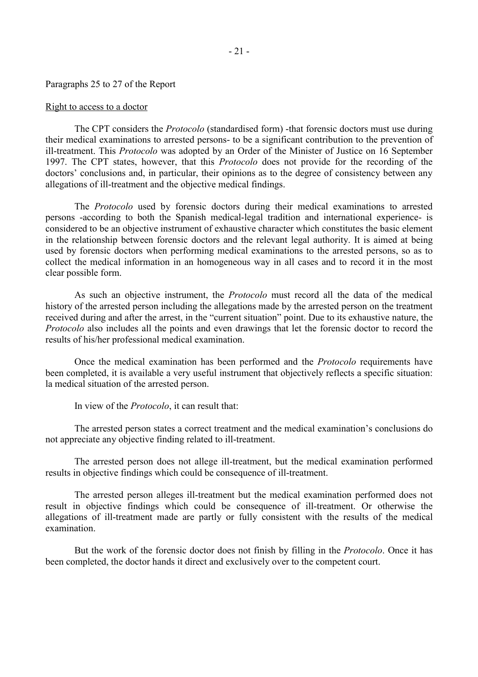#### Paragraphs 25 to 27 of the Report

### Right to access to a doctor

 The CPT considers the *Protocolo* (standardised form) -that forensic doctors must use during their medical examinations to arrested persons- to be a significant contribution to the prevention of ill-treatment. This *Protocolo* was adopted by an Order of the Minister of Justice on 16 September 1997. The CPT states, however, that this *Protocolo* does not provide for the recording of the doctors' conclusions and, in particular, their opinions as to the degree of consistency between any allegations of ill-treatment and the objective medical findings.

 The *Protocolo* used by forensic doctors during their medical examinations to arrested persons -according to both the Spanish medical-legal tradition and international experience- is considered to be an objective instrument of exhaustive character which constitutes the basic element in the relationship between forensic doctors and the relevant legal authority. It is aimed at being used by forensic doctors when performing medical examinations to the arrested persons, so as to collect the medical information in an homogeneous way in all cases and to record it in the most clear possible form.

 As such an objective instrument, the *Protocolo* must record all the data of the medical history of the arrested person including the allegations made by the arrested person on the treatment received during and after the arrest, in the "current situation" point. Due to its exhaustive nature, the *Protocolo* also includes all the points and even drawings that let the forensic doctor to record the results of his/her professional medical examination.

 Once the medical examination has been performed and the *Protocolo* requirements have been completed, it is available a very useful instrument that objectively reflects a specific situation: la medical situation of the arrested person.

In view of the *Protocolo*, it can result that:

 The arrested person states a correct treatment and the medical examination's conclusions do not appreciate any objective finding related to ill-treatment.

 The arrested person does not allege ill-treatment, but the medical examination performed results in objective findings which could be consequence of ill-treatment.

 The arrested person alleges ill-treatment but the medical examination performed does not result in objective findings which could be consequence of ill-treatment. Or otherwise the allegations of ill-treatment made are partly or fully consistent with the results of the medical examination.

 But the work of the forensic doctor does not finish by filling in the *Protocolo*. Once it has been completed, the doctor hands it direct and exclusively over to the competent court.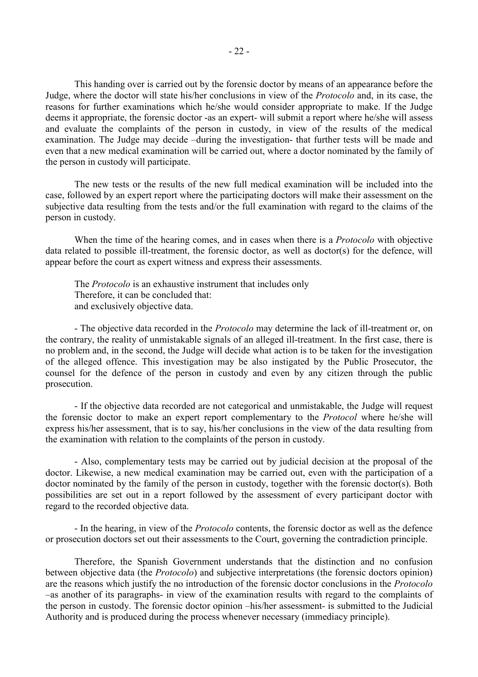This handing over is carried out by the forensic doctor by means of an appearance before the Judge, where the doctor will state his/her conclusions in view of the *Protocolo* and, in its case, the reasons for further examinations which he/she would consider appropriate to make. If the Judge deems it appropriate, the forensic doctor -as an expert- will submit a report where he/she will assess and evaluate the complaints of the person in custody, in view of the results of the medical examination. The Judge may decide –during the investigation- that further tests will be made and even that a new medical examination will be carried out, where a doctor nominated by the family of the person in custody will participate.

 The new tests or the results of the new full medical examination will be included into the case, followed by an expert report where the participating doctors will make their assessment on the subjective data resulting from the tests and/or the full examination with regard to the claims of the person in custody.

 When the time of the hearing comes, and in cases when there is a *Protocolo* with objective data related to possible ill-treatment, the forensic doctor, as well as doctor(s) for the defence, will appear before the court as expert witness and express their assessments.

 The *Protocolo* is an exhaustive instrument that includes only Therefore, it can be concluded that: and exclusively objective data.

 - The objective data recorded in the *Protocolo* may determine the lack of ill-treatment or, on the contrary, the reality of unmistakable signals of an alleged ill-treatment. In the first case, there is no problem and, in the second, the Judge will decide what action is to be taken for the investigation of the alleged offence. This investigation may be also instigated by the Public Prosecutor, the counsel for the defence of the person in custody and even by any citizen through the public prosecution.

 - If the objective data recorded are not categorical and unmistakable, the Judge will request the forensic doctor to make an expert report complementary to the *Protocol* where he/she will express his/her assessment, that is to say, his/her conclusions in the view of the data resulting from the examination with relation to the complaints of the person in custody.

 - Also, complementary tests may be carried out by judicial decision at the proposal of the doctor. Likewise, a new medical examination may be carried out, even with the participation of a doctor nominated by the family of the person in custody, together with the forensic doctor(s). Both possibilities are set out in a report followed by the assessment of every participant doctor with regard to the recorded objective data.

 - In the hearing, in view of the *Protocolo* contents, the forensic doctor as well as the defence or prosecution doctors set out their assessments to the Court, governing the contradiction principle.

 Therefore, the Spanish Government understands that the distinction and no confusion between objective data (the *Protocolo*) and subjective interpretations (the forensic doctors opinion) are the reasons which justify the no introduction of the forensic doctor conclusions in the *Protocolo*  –as another of its paragraphs- in view of the examination results with regard to the complaints of the person in custody. The forensic doctor opinion –his/her assessment- is submitted to the Judicial Authority and is produced during the process whenever necessary (immediacy principle).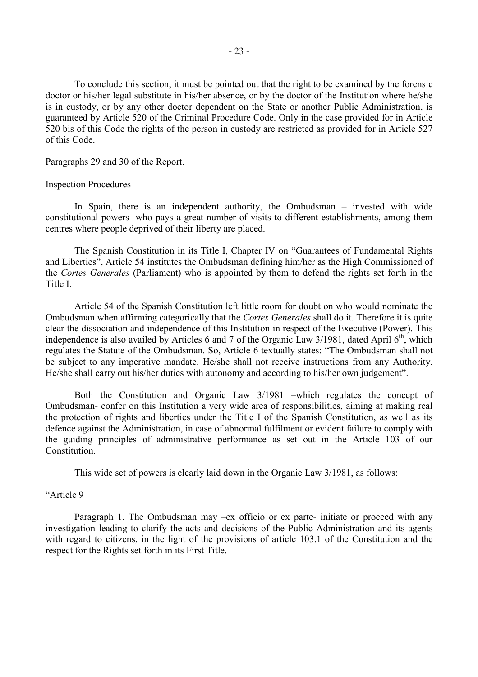To conclude this section, it must be pointed out that the right to be examined by the forensic doctor or his/her legal substitute in his/her absence, or by the doctor of the Institution where he/she is in custody, or by any other doctor dependent on the State or another Public Administration, is guaranteed by Article 520 of the Criminal Procedure Code. Only in the case provided for in Article 520 bis of this Code the rights of the person in custody are restricted as provided for in Article 527 of this Code.

Paragraphs 29 and 30 of the Report.

#### Inspection Procedures

 In Spain, there is an independent authority, the Ombudsman – invested with wide constitutional powers- who pays a great number of visits to different establishments, among them centres where people deprived of their liberty are placed.

 The Spanish Constitution in its Title I, Chapter IV on "Guarantees of Fundamental Rights and Liberties", Article 54 institutes the Ombudsman defining him/her as the High Commissioned of the *Cortes Generales* (Parliament) who is appointed by them to defend the rights set forth in the Title I.

 Article 54 of the Spanish Constitution left little room for doubt on who would nominate the Ombudsman when affirming categorically that the *Cortes Generales* shall do it. Therefore it is quite clear the dissociation and independence of this Institution in respect of the Executive (Power). This independence is also availed by Articles 6 and 7 of the Organic Law  $3/1981$ , dated April 6<sup>th</sup>, which regulates the Statute of the Ombudsman. So, Article 6 textually states: "The Ombudsman shall not be subject to any imperative mandate. He/she shall not receive instructions from any Authority. He/she shall carry out his/her duties with autonomy and according to his/her own judgement".

 Both the Constitution and Organic Law 3/1981 –which regulates the concept of Ombudsman- confer on this Institution a very wide area of responsibilities, aiming at making real the protection of rights and liberties under the Title I of the Spanish Constitution, as well as its defence against the Administration, in case of abnormal fulfilment or evident failure to comply with the guiding principles of administrative performance as set out in the Article 103 of our Constitution.

This wide set of powers is clearly laid down in the Organic Law 3/1981, as follows:

### "Article 9

 Paragraph 1. The Ombudsman may –ex officio or ex parte- initiate or proceed with any investigation leading to clarify the acts and decisions of the Public Administration and its agents with regard to citizens, in the light of the provisions of article 103.1 of the Constitution and the respect for the Rights set forth in its First Title.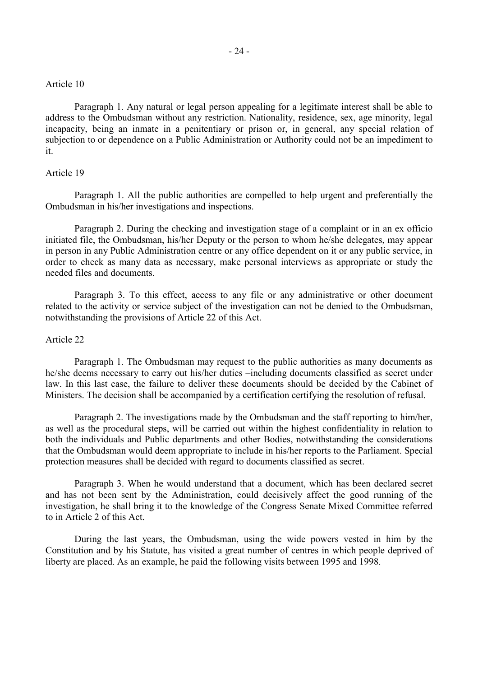### Article 10

 Paragraph 1. Any natural or legal person appealing for a legitimate interest shall be able to address to the Ombudsman without any restriction. Nationality, residence, sex, age minority, legal incapacity, being an inmate in a penitentiary or prison or, in general, any special relation of subjection to or dependence on a Public Administration or Authority could not be an impediment to it.

# Article 19

 Paragraph 1. All the public authorities are compelled to help urgent and preferentially the Ombudsman in his/her investigations and inspections.

Paragraph 2. During the checking and investigation stage of a complaint or in an ex officio initiated file, the Ombudsman, his/her Deputy or the person to whom he/she delegates, may appear in person in any Public Administration centre or any office dependent on it or any public service, in order to check as many data as necessary, make personal interviews as appropriate or study the needed files and documents.

Paragraph 3. To this effect, access to any file or any administrative or other document related to the activity or service subject of the investigation can not be denied to the Ombudsman, notwithstanding the provisions of Article 22 of this Act.

### Article 22

 Paragraph 1. The Ombudsman may request to the public authorities as many documents as he/she deems necessary to carry out his/her duties –including documents classified as secret under law. In this last case, the failure to deliver these documents should be decided by the Cabinet of Ministers. The decision shall be accompanied by a certification certifying the resolution of refusal.

 Paragraph 2. The investigations made by the Ombudsman and the staff reporting to him/her, as well as the procedural steps, will be carried out within the highest confidentiality in relation to both the individuals and Public departments and other Bodies, notwithstanding the considerations that the Ombudsman would deem appropriate to include in his/her reports to the Parliament. Special protection measures shall be decided with regard to documents classified as secret.

 Paragraph 3. When he would understand that a document, which has been declared secret and has not been sent by the Administration, could decisively affect the good running of the investigation, he shall bring it to the knowledge of the Congress Senate Mixed Committee referred to in Article 2 of this Act.

During the last years, the Ombudsman, using the wide powers vested in him by the Constitution and by his Statute, has visited a great number of centres in which people deprived of liberty are placed. As an example, he paid the following visits between 1995 and 1998.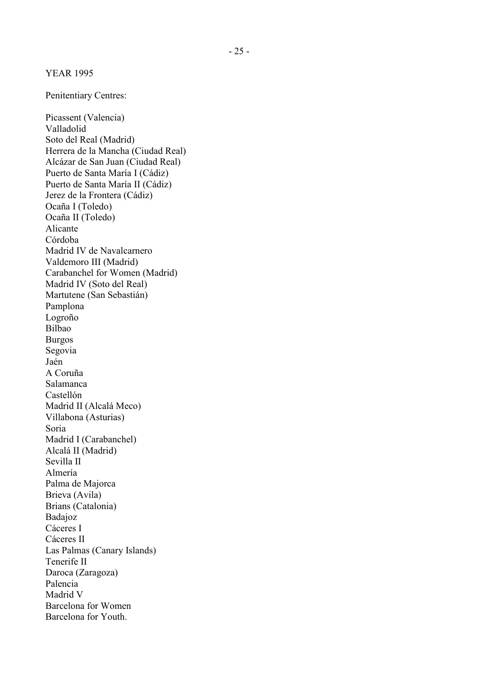Penitentiary Centres:

Picassent (Valencia) Valladolid Soto del Real (Madrid) Herrera de la Mancha (Ciudad Real) Alcázar de San Juan (Ciudad Real) Puerto de Santa María I (Cádiz) Puerto de Santa María II (Cádiz) Jerez de la Frontera (Cádiz) Ocaña I (Toledo) Ocaña II (Toledo) Alicante Córdoba Madrid IV de Navalcarnero Valdemoro III (Madrid) Carabanchel for Women (Madrid) Madrid IV (Soto del Real) Martutene (San Sebastián) Pamplona Logroño Bilbao Burgos Segovia Jaén A Coruña Salamanca Castellón Madrid II (Alcalá Meco) Villabona (Asturias) Soria Madrid I (Carabanchel) Alcalá II (Madrid) Sevilla II Almería Palma de Majorca Brieva (Avila) Brians (Catalonia) Badajoz Cáceres I Cáceres II Las Palmas (Canary Islands) Tenerife II Daroca (Zaragoza) Palencia Madrid V Barcelona for Women Barcelona for Youth.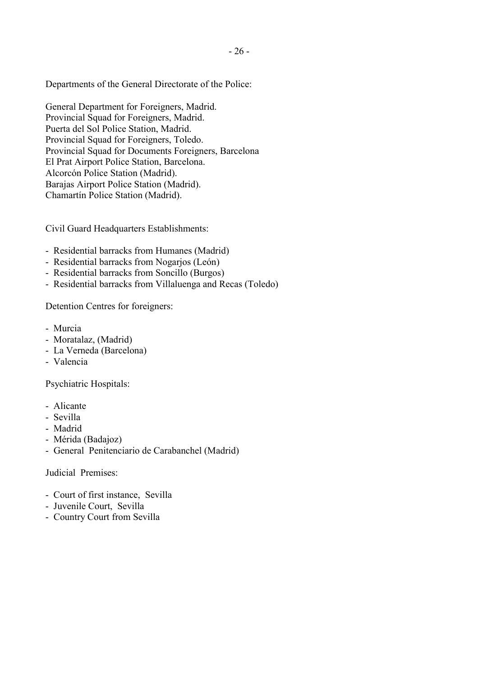Departments of the General Directorate of the Police:

General Department for Foreigners, Madrid. Provincial Squad for Foreigners, Madrid. Puerta del Sol Police Station, Madrid. Provincial Squad for Foreigners, Toledo. Provincial Squad for Documents Foreigners, Barcelona El Prat Airport Police Station, Barcelona. Alcorcón Police Station (Madrid). Barajas Airport Police Station (Madrid). Chamartín Police Station (Madrid).

Civil Guard Headquarters Establishments:

- Residential barracks from Humanes (Madrid)
- Residential barracks from Nogarjos (León)
- Residential barracks from Soncillo (Burgos)
- Residential barracks from Villaluenga and Recas (Toledo)

Detention Centres for foreigners:

- Murcia
- Moratalaz, (Madrid)
- La Verneda (Barcelona)
- Valencia

Psychiatric Hospitals:

- Alicante
- Sevilla
- Madrid
- Mérida (Badajoz)
- General Penitenciario de Carabanchel (Madrid)

Judicial Premises:

- Court of first instance, Sevilla
- Juvenile Court, Sevilla
- Country Court from Sevilla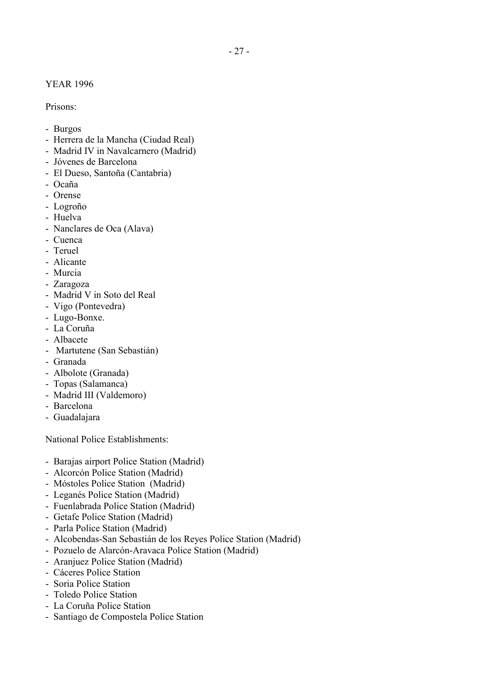# YEAR 1996

Prisons:

- Burgos
- Herrera de la Mancha (Ciudad Real)
- Madrid IV in Navalcarnero (Madrid)
- Jóvenes de Barcelona
- El Dueso, Santoña (Cantabria)
- Ocaña
- Orense
- Logroño
- Huelva
- Nanclares de Oca (Alava)
- Cuenca
- Teruel
- Alicante
- Murcia
- Zaragoza
- Madrid V in Soto del Real
- Vigo (Pontevedra)
- Lugo-Bonxe.
- La Coruña
- Albacete
- Martutene (San Sebastián)
- Granada
- Albolote (Granada)
- Topas (Salamanca)
- Madrid III (Valdemoro)
- Barcelona
- Guadalajara

National Police Establishments:

- Barajas airport Police Station (Madrid)
- Alcorcón Police Station (Madrid)
- Móstoles Police Station (Madrid)
- Leganés Police Station (Madrid)
- Fuenlabrada Police Station (Madrid)
- Getafe Police Station (Madrid)
- Parla Police Station (Madrid)
- Alcobendas-San Sebastián de los Reyes Police Station (Madrid)
- Pozuelo de Alarcón-Aravaca Police Station (Madrid)
- Aranjuez Police Station (Madrid)
- Cáceres Police Station
- Soria Police Station
- Toledo Police Station
- La Coruña Police Station
- Santiago de Compostela Police Station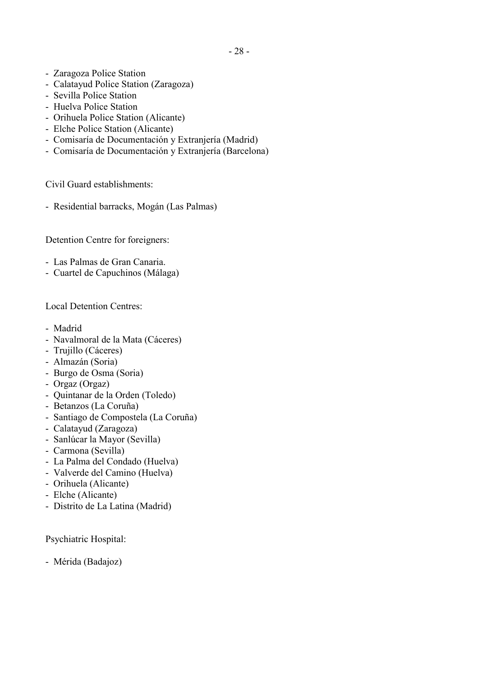- Zaragoza Police Station
- Calatayud Police Station (Zaragoza)
- Sevilla Police Station
- Huelva Police Station
- Orihuela Police Station (Alicante)
- Elche Police Station (Alicante)
- Comisaría de Documentación y Extranjería (Madrid)
- Comisaría de Documentación y Extranjería (Barcelona)

Civil Guard establishments:

- Residential barracks, Mogán (Las Palmas)

Detention Centre for foreigners:

- Las Palmas de Gran Canaria.
- Cuartel de Capuchinos (Málaga)

Local Detention Centres:

- Madrid
- Navalmoral de la Mata (Cáceres)
- Trujillo (Cáceres)
- Almazán (Soria)
- Burgo de Osma (Soria)
- Orgaz (Orgaz)
- Quintanar de la Orden (Toledo)
- Betanzos (La Coruña)
- Santiago de Compostela (La Coruña)
- Calatayud (Zaragoza)
- Sanlúcar la Mayor (Sevilla)
- Carmona (Sevilla)
- La Palma del Condado (Huelva)
- Valverde del Camino (Huelva)
- Orihuela (Alicante)
- Elche (Alicante)
- Distrito de La Latina (Madrid)

Psychiatric Hospital:

- Mérida (Badajoz)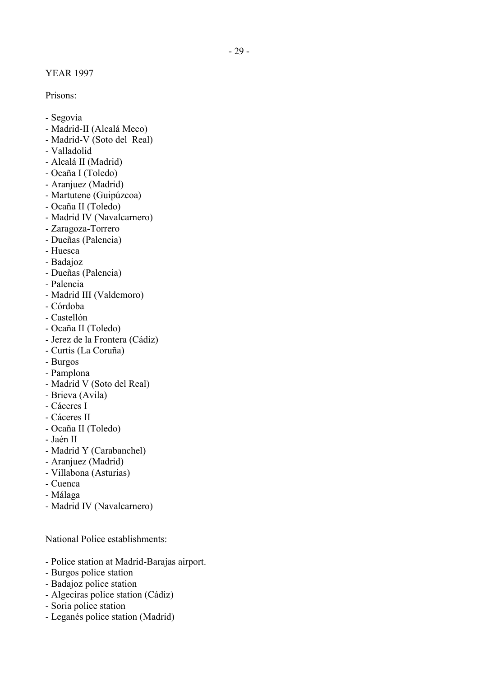YEAR 1997

Prisons:

- Segovia
- Madrid-II (Alcalá Meco)
- Madrid-V (Soto del Real)
- Valladolid
- Alcalá II (Madrid)
- Ocaña I (Toledo)
- Aranjuez (Madrid)
- Martutene (Guipúzcoa)
- Ocaña II (Toledo)
- Madrid IV (Navalcarnero)
- Zaragoza-Torrero
- Dueñas (Palencia)
- Huesca
- Badajoz
- Dueñas (Palencia)
- Palencia
- Madrid III (Valdemoro)
- Córdoba
- Castellón
- Ocaña II (Toledo)
- Jerez de la Frontera (Cádiz)
- Curtis (La Coruña)
- Burgos
- Pamplona
- Madrid V (Soto del Real)
- Brieva (Avila)
- Cáceres I
- Cáceres II
- Ocaña II (Toledo)
- Jaén II
- Madrid Y (Carabanchel)
- Aranjuez (Madrid)
- Villabona (Asturias)
- Cuenca
- Málaga
- Madrid IV (Navalcarnero)

National Police establishments:

- Police station at Madrid-Barajas airport.
- Burgos police station
- Badajoz police station
- Algeciras police station (Cádiz)
- Soria police station
- Leganés police station (Madrid)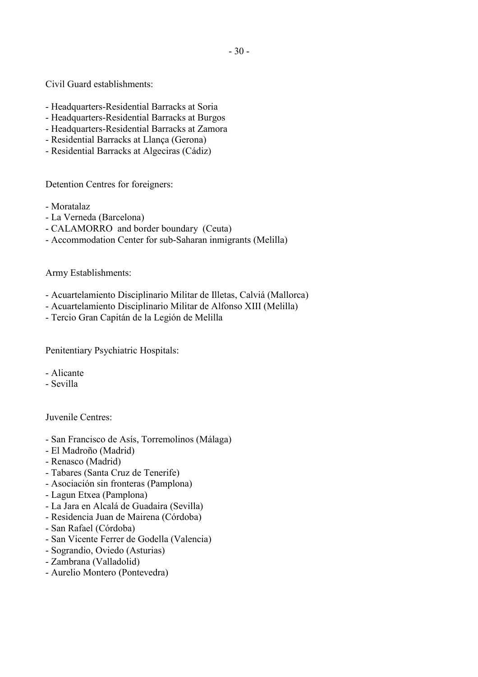Civil Guard establishments:

- Headquarters-Residential Barracks at Soria
- Headquarters-Residential Barracks at Burgos
- Headquarters-Residential Barracks at Zamora
- Residential Barracks at Llança (Gerona)
- Residential Barracks at Algeciras (Cádiz)

Detention Centres for foreigners:

- Moratalaz
- La Verneda (Barcelona)
- CALAMORRO and border boundary (Ceuta)
- Accommodation Center for sub-Saharan inmigrants (Melilla)

Army Establishments:

- Acuartelamiento Disciplinario Militar de Illetas, Calviá (Mallorca)
- Acuartelamiento Disciplinario Militar de Alfonso XIII (Melilla)
- Tercio Gran Capitán de la Legión de Melilla

Penitentiary Psychiatric Hospitals:

- Alicante
- Sevilla

Juvenile Centres:

- San Francisco de Asís, Torremolinos (Málaga)
- El Madroño (Madrid)
- Renasco (Madrid)
- Tabares (Santa Cruz de Tenerife)
- Asociación sin fronteras (Pamplona)
- Lagun Etxea (Pamplona)
- La Jara en Alcalá de Guadaira (Sevilla)
- Residencia Juan de Mairena (Córdoba)
- San Rafael (Córdoba)
- San Vicente Ferrer de Godella (Valencia)
- Sograndio, Oviedo (Asturias)
- Zambrana (Valladolid)
- Aurelio Montero (Pontevedra)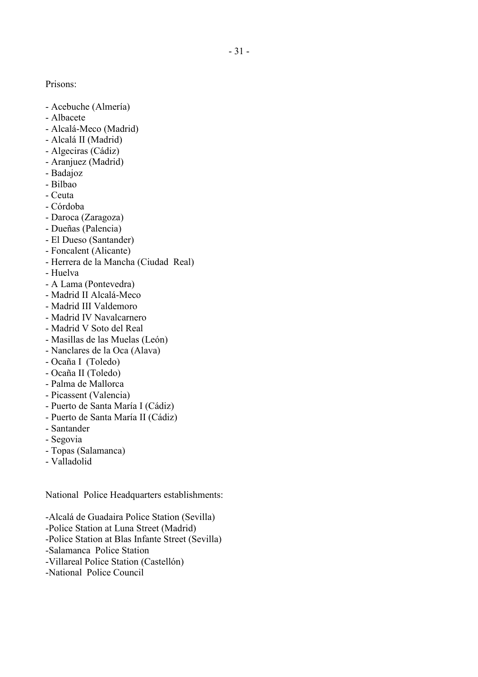Prisons:

- Acebuche (Almería)
- Albacete
- Alcalá-Meco (Madrid)
- Alcalá II (Madrid)
- Algeciras (Cádiz)
- Aranjuez (Madrid)
- Badajoz
- Bilbao
- Ceuta
- Córdoba
- Daroca (Zaragoza)
- Dueñas (Palencia)
- El Dueso (Santander)
- Foncalent (Alicante)
- Herrera de la Mancha (Ciudad Real)
- Huelva
- A Lama (Pontevedra)
- Madrid II Alcalá-Meco
- Madrid III Valdemoro
- Madrid IV Navalcarnero
- Madrid V Soto del Real
- Masillas de las Muelas (León)
- Nanclares de la Oca (Alava)
- Ocaña I (Toledo)
- Ocaña II (Toledo)
- Palma de Mallorca
- Picassent (Valencia)
- Puerto de Santa María I (Cádiz)
- Puerto de Santa María II (Cádiz)
- Santander
- Segovia
- Topas (Salamanca)
- Valladolid

National Police Headquarters establishments:

-Alcalá de Guadaira Police Station (Sevilla) -Police Station at Luna Street (Madrid) -Police Station at Blas Infante Street (Sevilla) -Salamanca Police Station -Villareal Police Station (Castellón) -National Police Council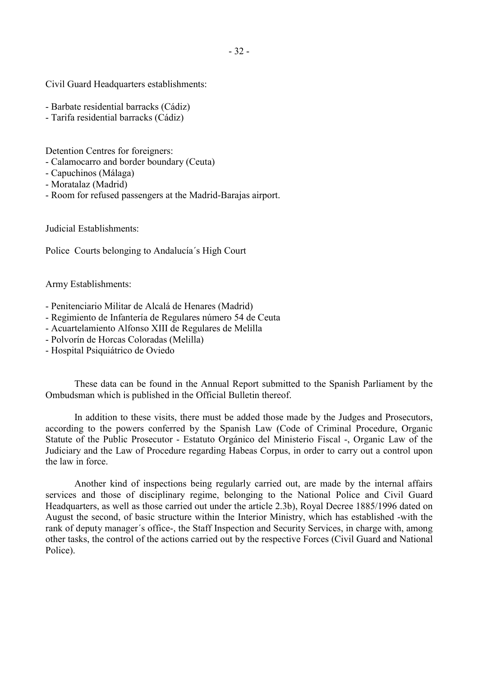Civil Guard Headquarters establishments:

- Barbate residential barracks (Cádiz)
- Tarifa residential barracks (Cádiz)

Detention Centres for foreigners:

- Calamocarro and border boundary (Ceuta)
- Capuchinos (Málaga)
- Moratalaz (Madrid)
- Room for refused passengers at the Madrid-Barajas airport.

Judicial Establishments:

Police Courts belonging to Andalucía´s High Court

Army Establishments:

- Penitenciario Militar de Alcalá de Henares (Madrid)
- Regimiento de Infantería de Regulares número 54 de Ceuta
- Acuartelamiento Alfonso XIII de Regulares de Melilla
- Polvorín de Horcas Coloradas (Melilla)
- Hospital Psiquiátrico de Oviedo

 These data can be found in the Annual Report submitted to the Spanish Parliament by the Ombudsman which is published in the Official Bulletin thereof.

 In addition to these visits, there must be added those made by the Judges and Prosecutors, according to the powers conferred by the Spanish Law (Code of Criminal Procedure, Organic Statute of the Public Prosecutor - Estatuto Orgánico del Ministerio Fiscal -, Organic Law of the Judiciary and the Law of Procedure regarding Habeas Corpus, in order to carry out a control upon the law in force.

 Another kind of inspections being regularly carried out, are made by the internal affairs services and those of disciplinary regime, belonging to the National Police and Civil Guard Headquarters, as well as those carried out under the article 2.3b), Royal Decree 1885/1996 dated on August the second, of basic structure within the Interior Ministry, which has established -with the rank of deputy manager´s office-, the Staff Inspection and Security Services, in charge with, among other tasks, the control of the actions carried out by the respective Forces (Civil Guard and National Police).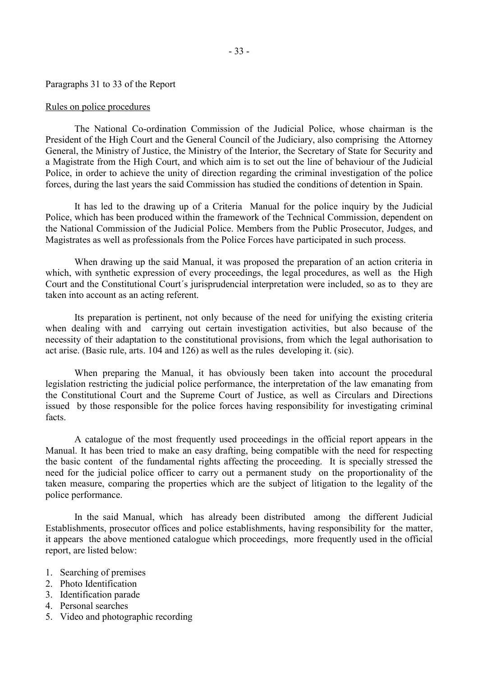### Paragraphs 31 to 33 of the Report

#### Rules on police procedures

 The National Co-ordination Commission of the Judicial Police, whose chairman is the President of the High Court and the General Council of the Judiciary, also comprising the Attorney General, the Ministry of Justice, the Ministry of the Interior, the Secretary of State for Security and a Magistrate from the High Court, and which aim is to set out the line of behaviour of the Judicial Police, in order to achieve the unity of direction regarding the criminal investigation of the police forces, during the last years the said Commission has studied the conditions of detention in Spain.

 It has led to the drawing up of a Criteria Manual for the police inquiry by the Judicial Police, which has been produced within the framework of the Technical Commission, dependent on the National Commission of the Judicial Police. Members from the Public Prosecutor, Judges, and Magistrates as well as professionals from the Police Forces have participated in such process.

 When drawing up the said Manual, it was proposed the preparation of an action criteria in which, with synthetic expression of every proceedings, the legal procedures, as well as the High Court and the Constitutional Court´s jurisprudencial interpretation were included, so as to they are taken into account as an acting referent.

 Its preparation is pertinent, not only because of the need for unifying the existing criteria when dealing with and carrying out certain investigation activities, but also because of the necessity of their adaptation to the constitutional provisions, from which the legal authorisation to act arise. (Basic rule, arts. 104 and 126) as well as the rules developing it. (sic).

 When preparing the Manual, it has obviously been taken into account the procedural legislation restricting the judicial police performance, the interpretation of the law emanating from the Constitutional Court and the Supreme Court of Justice, as well as Circulars and Directions issued by those responsible for the police forces having responsibility for investigating criminal facts.

 A catalogue of the most frequently used proceedings in the official report appears in the Manual. It has been tried to make an easy drafting, being compatible with the need for respecting the basic content of the fundamental rights affecting the proceeding. It is specially stressed the need for the judicial police officer to carry out a permanent study on the proportionality of the taken measure, comparing the properties which are the subject of litigation to the legality of the police performance.

 In the said Manual, which has already been distributed among the different Judicial Establishments, prosecutor offices and police establishments, having responsibility for the matter, it appears the above mentioned catalogue which proceedings, more frequently used in the official report, are listed below:

- 1. Searching of premises
- 2. Photo Identification
- 3. Identification parade
- 4. Personal searches
- 5. Video and photographic recording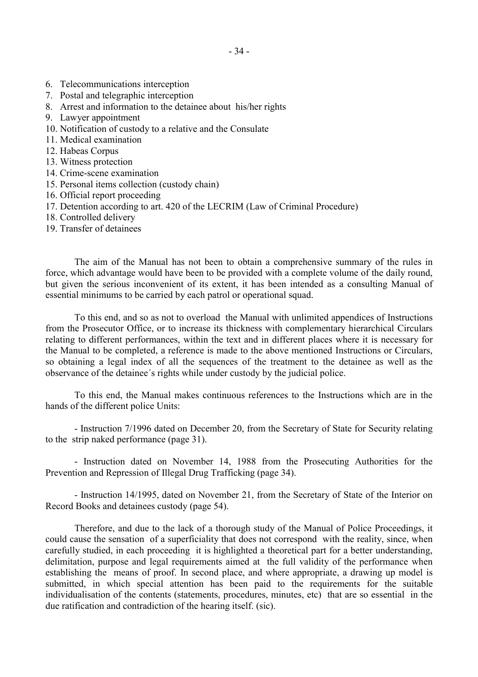- 6. Telecommunications interception
- 7. Postal and telegraphic interception
- 8. Arrest and information to the detainee about his/her rights
- 9. Lawyer appointment
- 10. Notification of custody to a relative and the Consulate
- 11. Medical examination
- 12. Habeas Corpus
- 13. Witness protection
- 14. Crime-scene examination
- 15. Personal items collection (custody chain)
- 16. Official report proceeding
- 17. Detention according to art. 420 of the LECRIM (Law of Criminal Procedure)
- 18. Controlled delivery
- 19. Transfer of detainees

 The aim of the Manual has not been to obtain a comprehensive summary of the rules in force, which advantage would have been to be provided with a complete volume of the daily round, but given the serious inconvenient of its extent, it has been intended as a consulting Manual of essential minimums to be carried by each patrol or operational squad.

 To this end, and so as not to overload the Manual with unlimited appendices of Instructions from the Prosecutor Office, or to increase its thickness with complementary hierarchical Circulars relating to different performances, within the text and in different places where it is necessary for the Manual to be completed, a reference is made to the above mentioned Instructions or Circulars, so obtaining a legal index of all the sequences of the treatment to the detainee as well as the observance of the detainee´s rights while under custody by the judicial police.

 To this end, the Manual makes continuous references to the Instructions which are in the hands of the different police Units:

 - Instruction 7/1996 dated on December 20, from the Secretary of State for Security relating to the strip naked performance (page 31).

 - Instruction dated on November 14, 1988 from the Prosecuting Authorities for the Prevention and Repression of Illegal Drug Trafficking (page 34).

 - Instruction 14/1995, dated on November 21, from the Secretary of State of the Interior on Record Books and detainees custody (page 54).

Therefore, and due to the lack of a thorough study of the Manual of Police Proceedings, it could cause the sensation of a superficiality that does not correspond with the reality, since, when carefully studied, in each proceeding it is highlighted a theoretical part for a better understanding, delimitation, purpose and legal requirements aimed at the full validity of the performance when establishing the means of proof. In second place, and where appropriate, a drawing up model is submitted, in which special attention has been paid to the requirements for the suitable individualisation of the contents (statements, procedures, minutes, etc) that are so essential in the due ratification and contradiction of the hearing itself. (sic).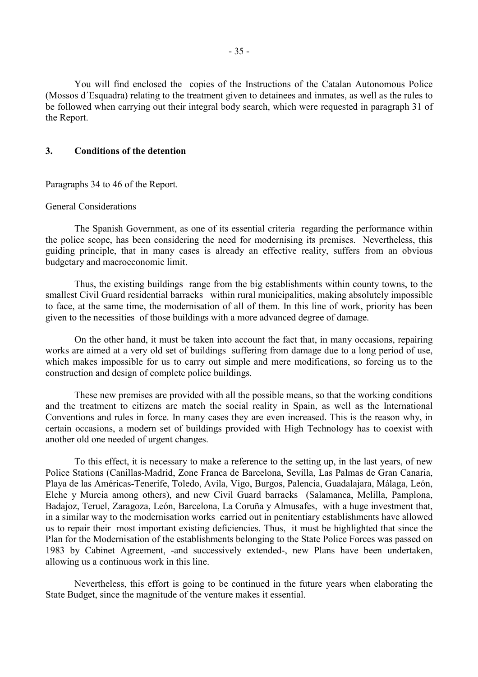You will find enclosed the copies of the Instructions of the Catalan Autonomous Police (Mossos d´Esquadra) relating to the treatment given to detainees and inmates, as well as the rules to be followed when carrying out their integral body search, which were requested in paragraph 31 of the Report.

# **3. Conditions of the detention**

Paragraphs 34 to 46 of the Report.

# General Considerations

 The Spanish Government, as one of its essential criteria regarding the performance within the police scope, has been considering the need for modernising its premises. Nevertheless, this guiding principle, that in many cases is already an effective reality, suffers from an obvious budgetary and macroeconomic limit.

 Thus, the existing buildings range from the big establishments within county towns, to the smallest Civil Guard residential barracks within rural municipalities, making absolutely impossible to face, at the same time, the modernisation of all of them. In this line of work, priority has been given to the necessities of those buildings with a more advanced degree of damage.

 On the other hand, it must be taken into account the fact that, in many occasions, repairing works are aimed at a very old set of buildings suffering from damage due to a long period of use, which makes impossible for us to carry out simple and mere modifications, so forcing us to the construction and design of complete police buildings.

 These new premises are provided with all the possible means, so that the working conditions and the treatment to citizens are match the social reality in Spain, as well as the International Conventions and rules in force. In many cases they are even increased. This is the reason why, in certain occasions, a modern set of buildings provided with High Technology has to coexist with another old one needed of urgent changes.

 To this effect, it is necessary to make a reference to the setting up, in the last years, of new Police Stations (Canillas-Madrid, Zone Franca de Barcelona, Sevilla, Las Palmas de Gran Canaria, Playa de las Américas-Tenerife, Toledo, Avila, Vigo, Burgos, Palencia, Guadalajara, Málaga, León, Elche y Murcia among others), and new Civil Guard barracks (Salamanca, Melilla, Pamplona, Badajoz, Teruel, Zaragoza, León, Barcelona, La Coruña y Almusafes, with a huge investment that, in a similar way to the modernisation works carried out in penitentiary establishments have allowed us to repair their most important existing deficiencies. Thus, it must be highlighted that since the Plan for the Modernisation of the establishments belonging to the State Police Forces was passed on 1983 by Cabinet Agreement, -and successively extended-, new Plans have been undertaken, allowing us a continuous work in this line.

 Nevertheless, this effort is going to be continued in the future years when elaborating the State Budget, since the magnitude of the venture makes it essential.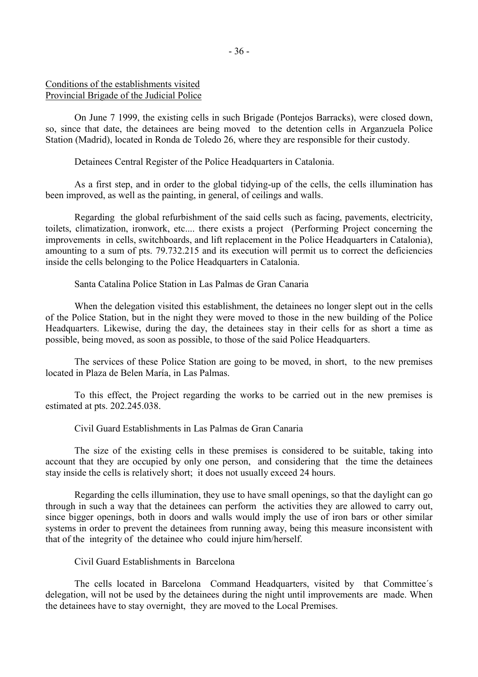# Conditions of the establishments visited Provincial Brigade of the Judicial Police

 On June 7 1999, the existing cells in such Brigade (Pontejos Barracks), were closed down, so, since that date, the detainees are being moved to the detention cells in Arganzuela Police Station (Madrid), located in Ronda de Toledo 26, where they are responsible for their custody.

Detainees Central Register of the Police Headquarters in Catalonia.

 As a first step, and in order to the global tidying-up of the cells, the cells illumination has been improved, as well as the painting, in general, of ceilings and walls.

 Regarding the global refurbishment of the said cells such as facing, pavements, electricity, toilets, climatization, ironwork, etc.... there exists a project (Performing Project concerning the improvements in cells, switchboards, and lift replacement in the Police Headquarters in Catalonia), amounting to a sum of pts. 79.732.215 and its execution will permit us to correct the deficiencies inside the cells belonging to the Police Headquarters in Catalonia.

Santa Catalina Police Station in Las Palmas de Gran Canaria

When the delegation visited this establishment, the detainees no longer slept out in the cells of the Police Station, but in the night they were moved to those in the new building of the Police Headquarters. Likewise, during the day, the detainees stay in their cells for as short a time as possible, being moved, as soon as possible, to those of the said Police Headquarters.

 The services of these Police Station are going to be moved, in short, to the new premises located in Plaza de Belen María, in Las Palmas.

 To this effect, the Project regarding the works to be carried out in the new premises is estimated at pts. 202.245.038.

Civil Guard Establishments in Las Palmas de Gran Canaria

 The size of the existing cells in these premises is considered to be suitable, taking into account that they are occupied by only one person, and considering that the time the detainees stay inside the cells is relatively short; it does not usually exceed 24 hours.

 Regarding the cells illumination, they use to have small openings, so that the daylight can go through in such a way that the detainees can perform the activities they are allowed to carry out, since bigger openings, both in doors and walls would imply the use of iron bars or other similar systems in order to prevent the detainees from running away, being this measure inconsistent with that of the integrity of the detainee who could injure him/herself.

Civil Guard Establishments in Barcelona

 The cells located in Barcelona Command Headquarters, visited by that Committee´s delegation, will not be used by the detainees during the night until improvements are made. When the detainees have to stay overnight, they are moved to the Local Premises.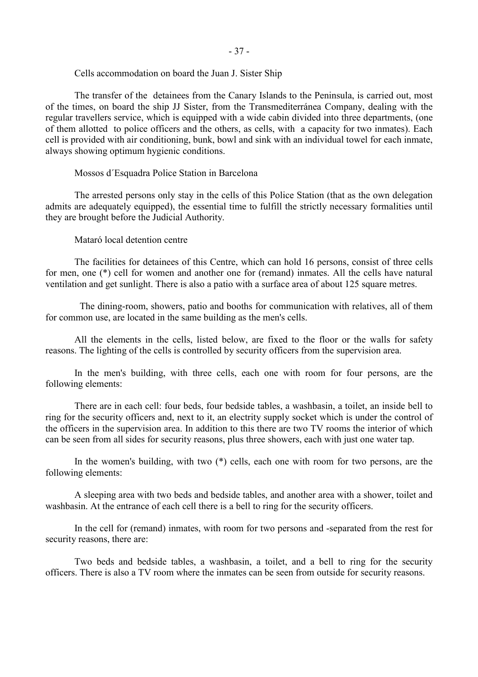# Cells accommodation on board the Juan J. Sister Ship

 The transfer of the detainees from the Canary Islands to the Peninsula, is carried out, most of the times, on board the ship JJ Sister, from the Transmediterránea Company, dealing with the regular travellers service, which is equipped with a wide cabin divided into three departments, (one of them allotted to police officers and the others, as cells, with a capacity for two inmates). Each cell is provided with air conditioning, bunk, bowl and sink with an individual towel for each inmate, always showing optimum hygienic conditions.

# Mossos d´Esquadra Police Station in Barcelona

 The arrested persons only stay in the cells of this Police Station (that as the own delegation admits are adequately equipped), the essential time to fulfill the strictly necessary formalities until they are brought before the Judicial Authority.

Mataró local detention centre

 The facilities for detainees of this Centre, which can hold 16 persons, consist of three cells for men, one (\*) cell for women and another one for (remand) inmates. All the cells have natural ventilation and get sunlight. There is also a patio with a surface area of about 125 square metres.

 The dining-room, showers, patio and booths for communication with relatives, all of them for common use, are located in the same building as the men's cells.

 All the elements in the cells, listed below, are fixed to the floor or the walls for safety reasons. The lighting of the cells is controlled by security officers from the supervision area.

 In the men's building, with three cells, each one with room for four persons, are the following elements:

 There are in each cell: four beds, four bedside tables, a washbasin, a toilet, an inside bell to ring for the security officers and, next to it, an electrity supply socket which is under the control of the officers in the supervision area. In addition to this there are two TV rooms the interior of which can be seen from all sides for security reasons, plus three showers, each with just one water tap.

In the women's building, with two (\*) cells, each one with room for two persons, are the following elements:

 A sleeping area with two beds and bedside tables, and another area with a shower, toilet and washbasin. At the entrance of each cell there is a bell to ring for the security officers.

 In the cell for (remand) inmates, with room for two persons and -separated from the rest for security reasons, there are:

 Two beds and bedside tables, a washbasin, a toilet, and a bell to ring for the security officers. There is also a TV room where the inmates can be seen from outside for security reasons.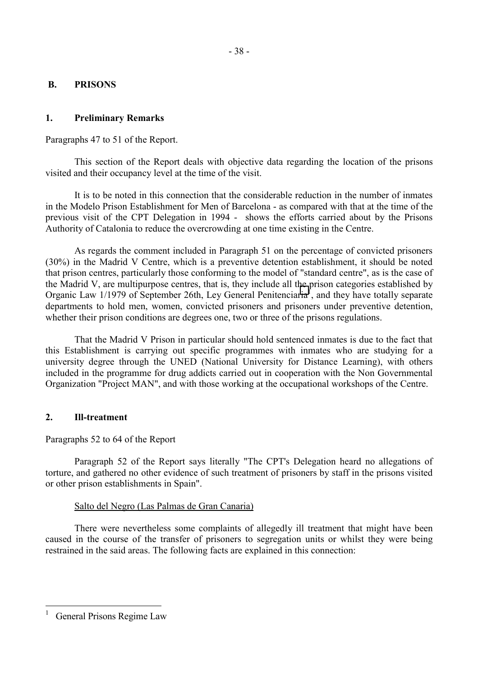# **B. PRISONS**

# **1. Preliminary Remarks**

Paragraphs 47 to 51 of the Report.

 This section of the Report deals with objective data regarding the location of the prisons visited and their occupancy level at the time of the visit.

 It is to be noted in this connection that the considerable reduction in the number of inmates in the Modelo Prison Establishment for Men of Barcelona - as compared with that at the time of the previous visit of the CPT Delegation in 1994 - shows the efforts carried about by the Prisons Authority of Catalonia to reduce the overcrowding at one time existing in the Centre.

 As regards the comment included in Paragraph 51 on the percentage of convicted prisoners (30%) in the Madrid V Centre, which is a preventive detention establishment, it should be noted that prison centres, particularly those conforming to the model of "standard centre", as is the case of the Madrid V, are multipurpose centres, that is, they include all the prison categories established by Organic Law  $1/1979$  of September 26th, Ley General Penitenciaria<sup>1</sup>, and they have totally separate departments to hold men, women, convicted prisoners and prisoners under preventive detention, whether their prison conditions are degrees one, two or three of the prisons regulations.

 That the Madrid V Prison in particular should hold sentenced inmates is due to the fact that this Establishment is carrying out specific programmes with inmates who are studying for a university degree through the UNED (National University for Distance Learning), with others included in the programme for drug addicts carried out in cooperation with the Non Governmental Organization "Project MAN", and with those working at the occupational workshops of the Centre.

# **2. Ill-treatment**

# Paragraphs 52 to 64 of the Report

 Paragraph 52 of the Report says literally "The CPT's Delegation heard no allegations of torture, and gathered no other evidence of such treatment of prisoners by staff in the prisons visited or other prison establishments in Spain".

# Salto del Negro (Las Palmas de Gran Canaria)

 There were nevertheless some complaints of allegedly ill treatment that might have been caused in the course of the transfer of prisoners to segregation units or whilst they were being restrained in the said areas. The following facts are explained in this connection:

 $\overline{a}$ 1 General Prisons Regime Law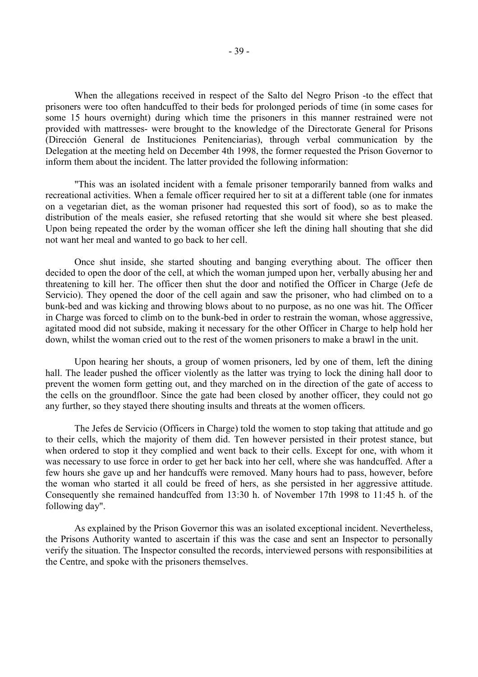When the allegations received in respect of the Salto del Negro Prison -to the effect that prisoners were too often handcuffed to their beds for prolonged periods of time (in some cases for some 15 hours overnight) during which time the prisoners in this manner restrained were not provided with mattresses- were brought to the knowledge of the Directorate General for Prisons (Dirección General de Instituciones Penitenciarias), through verbal communication by the Delegation at the meeting held on December 4th 1998, the former requested the Prison Governor to inform them about the incident. The latter provided the following information:

 "This was an isolated incident with a female prisoner temporarily banned from walks and recreational activities. When a female officer required her to sit at a different table (one for inmates on a vegetarian diet, as the woman prisoner had requested this sort of food), so as to make the distribution of the meals easier, she refused retorting that she would sit where she best pleased. Upon being repeated the order by the woman officer she left the dining hall shouting that she did not want her meal and wanted to go back to her cell.

 Once shut inside, she started shouting and banging everything about. The officer then decided to open the door of the cell, at which the woman jumped upon her, verbally abusing her and threatening to kill her. The officer then shut the door and notified the Officer in Charge (Jefe de Servicio). They opened the door of the cell again and saw the prisoner, who had climbed on to a bunk-bed and was kicking and throwing blows about to no purpose, as no one was hit. The Officer in Charge was forced to climb on to the bunk-bed in order to restrain the woman, whose aggressive, agitated mood did not subside, making it necessary for the other Officer in Charge to help hold her down, whilst the woman cried out to the rest of the women prisoners to make a brawl in the unit.

 Upon hearing her shouts, a group of women prisoners, led by one of them, left the dining hall. The leader pushed the officer violently as the latter was trying to lock the dining hall door to prevent the women form getting out, and they marched on in the direction of the gate of access to the cells on the groundfloor. Since the gate had been closed by another officer, they could not go any further, so they stayed there shouting insults and threats at the women officers.

 The Jefes de Servicio (Officers in Charge) told the women to stop taking that attitude and go to their cells, which the majority of them did. Ten however persisted in their protest stance, but when ordered to stop it they complied and went back to their cells. Except for one, with whom it was necessary to use force in order to get her back into her cell, where she was handcuffed. After a few hours she gave up and her handcuffs were removed. Many hours had to pass, however, before the woman who started it all could be freed of hers, as she persisted in her aggressive attitude. Consequently she remained handcuffed from 13:30 h. of November 17th 1998 to 11:45 h. of the following day".

 As explained by the Prison Governor this was an isolated exceptional incident. Nevertheless, the Prisons Authority wanted to ascertain if this was the case and sent an Inspector to personally verify the situation. The Inspector consulted the records, interviewed persons with responsibilities at the Centre, and spoke with the prisoners themselves.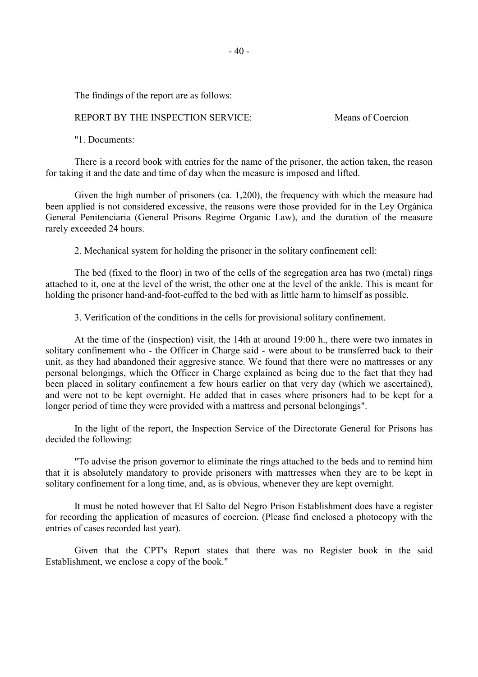The findings of the report are as follows:

### REPORT BY THE INSPECTION SERVICE: Means of Coercion

"1. Documents:

 There is a record book with entries for the name of the prisoner, the action taken, the reason for taking it and the date and time of day when the measure is imposed and lifted.

 Given the high number of prisoners (ca. 1,200), the frequency with which the measure had been applied is not considered excessive, the reasons were those provided for in the Ley Orgánica General Penitenciaria (General Prisons Regime Organic Law), and the duration of the measure rarely exceeded 24 hours.

2. Mechanical system for holding the prisoner in the solitary confinement cell:

 The bed (fixed to the floor) in two of the cells of the segregation area has two (metal) rings attached to it, one at the level of the wrist, the other one at the level of the ankle. This is meant for holding the prisoner hand-and-foot-cuffed to the bed with as little harm to himself as possible.

3. Verification of the conditions in the cells for provisional solitary confinement.

 At the time of the (inspection) visit, the 14th at around 19:00 h., there were two inmates in solitary confinement who - the Officer in Charge said - were about to be transferred back to their unit, as they had abandoned their aggresive stance. We found that there were no mattresses or any personal belongings, which the Officer in Charge explained as being due to the fact that they had been placed in solitary confinement a few hours earlier on that very day (which we ascertained), and were not to be kept overnight. He added that in cases where prisoners had to be kept for a longer period of time they were provided with a mattress and personal belongings".

 In the light of the report, the Inspection Service of the Directorate General for Prisons has decided the following:

 "To advise the prison governor to eliminate the rings attached to the beds and to remind him that it is absolutely mandatory to provide prisoners with mattresses when they are to be kept in solitary confinement for a long time, and, as is obvious, whenever they are kept overnight.

 It must be noted however that El Salto del Negro Prison Establishment does have a register for recording the application of measures of coercion. (Please find enclosed a photocopy with the entries of cases recorded last year).

 Given that the CPT's Report states that there was no Register book in the said Establishment, we enclose a copy of the book."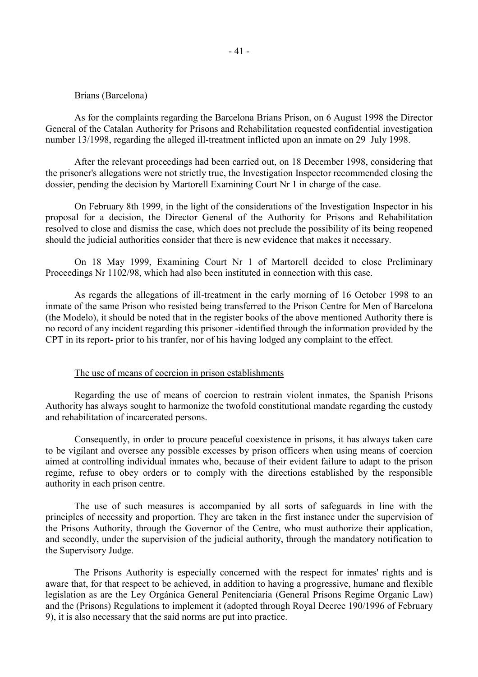#### Brians (Barcelona)

 As for the complaints regarding the Barcelona Brians Prison, on 6 August 1998 the Director General of the Catalan Authority for Prisons and Rehabilitation requested confidential investigation number 13/1998, regarding the alleged ill-treatment inflicted upon an inmate on 29 July 1998.

 After the relevant proceedings had been carried out, on 18 December 1998, considering that the prisoner's allegations were not strictly true, the Investigation Inspector recommended closing the dossier, pending the decision by Martorell Examining Court Nr 1 in charge of the case.

 On February 8th 1999, in the light of the considerations of the Investigation Inspector in his proposal for a decision, the Director General of the Authority for Prisons and Rehabilitation resolved to close and dismiss the case, which does not preclude the possibility of its being reopened should the judicial authorities consider that there is new evidence that makes it necessary.

 On 18 May 1999, Examining Court Nr 1 of Martorell decided to close Preliminary Proceedings Nr 1102/98, which had also been instituted in connection with this case.

 As regards the allegations of ill-treatment in the early morning of 16 October 1998 to an inmate of the same Prison who resisted being transferred to the Prison Centre for Men of Barcelona (the Modelo), it should be noted that in the register books of the above mentioned Authority there is no record of any incident regarding this prisoner -identified through the information provided by the CPT in its report- prior to his tranfer, nor of his having lodged any complaint to the effect.

### The use of means of coercion in prison establishments

 Regarding the use of means of coercion to restrain violent inmates, the Spanish Prisons Authority has always sought to harmonize the twofold constitutional mandate regarding the custody and rehabilitation of incarcerated persons.

 Consequently, in order to procure peaceful coexistence in prisons, it has always taken care to be vigilant and oversee any possible excesses by prison officers when using means of coercion aimed at controlling individual inmates who, because of their evident failure to adapt to the prison regime, refuse to obey orders or to comply with the directions established by the responsible authority in each prison centre.

 The use of such measures is accompanied by all sorts of safeguards in line with the principles of necessity and proportion. They are taken in the first instance under the supervision of the Prisons Authority, through the Governor of the Centre, who must authorize their application, and secondly, under the supervision of the judicial authority, through the mandatory notification to the Supervisory Judge.

 The Prisons Authority is especially concerned with the respect for inmates' rights and is aware that, for that respect to be achieved, in addition to having a progressive, humane and flexible legislation as are the Ley Orgánica General Penitenciaria (General Prisons Regime Organic Law) and the (Prisons) Regulations to implement it (adopted through Royal Decree 190/1996 of February 9), it is also necessary that the said norms are put into practice.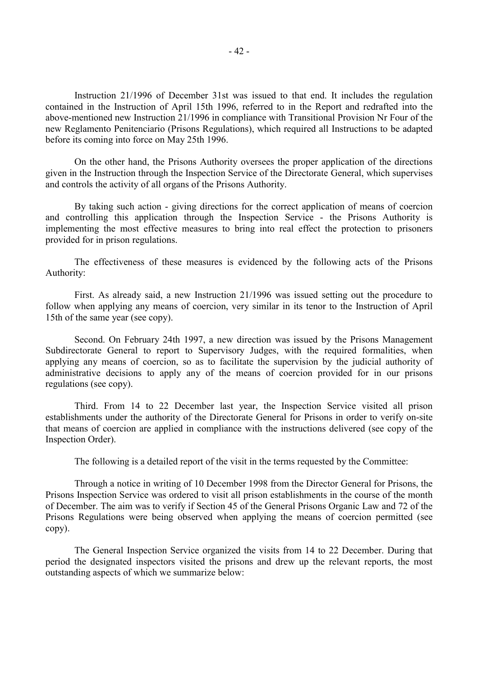Instruction 21/1996 of December 31st was issued to that end. It includes the regulation contained in the Instruction of April 15th 1996, referred to in the Report and redrafted into the above-mentioned new Instruction 21/1996 in compliance with Transitional Provision Nr Four of the new Reglamento Penitenciario (Prisons Regulations), which required all Instructions to be adapted before its coming into force on May 25th 1996.

 On the other hand, the Prisons Authority oversees the proper application of the directions given in the Instruction through the Inspection Service of the Directorate General, which supervises and controls the activity of all organs of the Prisons Authority.

 By taking such action - giving directions for the correct application of means of coercion and controlling this application through the Inspection Service - the Prisons Authority is implementing the most effective measures to bring into real effect the protection to prisoners provided for in prison regulations.

 The effectiveness of these measures is evidenced by the following acts of the Prisons Authority:

 First. As already said, a new Instruction 21/1996 was issued setting out the procedure to follow when applying any means of coercion, very similar in its tenor to the Instruction of April 15th of the same year (see copy).

 Second. On February 24th 1997, a new direction was issued by the Prisons Management Subdirectorate General to report to Supervisory Judges, with the required formalities, when applying any means of coercion, so as to facilitate the supervision by the judicial authority of administrative decisions to apply any of the means of coercion provided for in our prisons regulations (see copy).

 Third. From 14 to 22 December last year, the Inspection Service visited all prison establishments under the authority of the Directorate General for Prisons in order to verify on-site that means of coercion are applied in compliance with the instructions delivered (see copy of the Inspection Order).

The following is a detailed report of the visit in the terms requested by the Committee:

 Through a notice in writing of 10 December 1998 from the Director General for Prisons, the Prisons Inspection Service was ordered to visit all prison establishments in the course of the month of December. The aim was to verify if Section 45 of the General Prisons Organic Law and 72 of the Prisons Regulations were being observed when applying the means of coercion permitted (see copy).

 The General Inspection Service organized the visits from 14 to 22 December. During that period the designated inspectors visited the prisons and drew up the relevant reports, the most outstanding aspects of which we summarize below: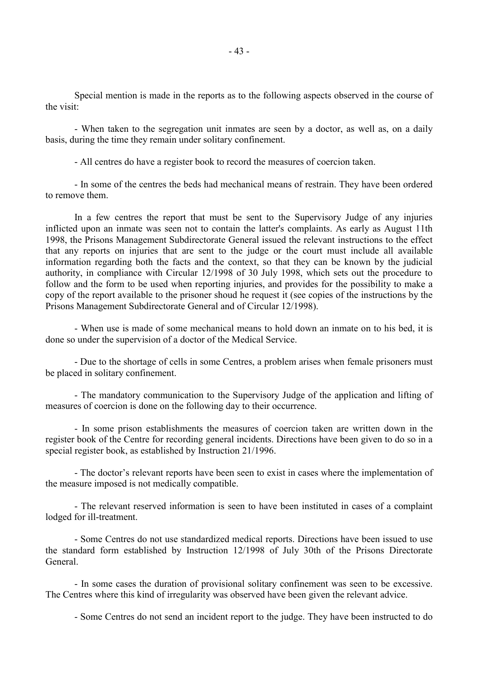Special mention is made in the reports as to the following aspects observed in the course of the visit:

 - When taken to the segregation unit inmates are seen by a doctor, as well as, on a daily basis, during the time they remain under solitary confinement.

- All centres do have a register book to record the measures of coercion taken.

 - In some of the centres the beds had mechanical means of restrain. They have been ordered to remove them.

 In a few centres the report that must be sent to the Supervisory Judge of any injuries inflicted upon an inmate was seen not to contain the latter's complaints. As early as August 11th 1998, the Prisons Management Subdirectorate General issued the relevant instructions to the effect that any reports on injuries that are sent to the judge or the court must include all available information regarding both the facts and the context, so that they can be known by the judicial authority, in compliance with Circular 12/1998 of 30 July 1998, which sets out the procedure to follow and the form to be used when reporting injuries, and provides for the possibility to make a copy of the report available to the prisoner shoud he request it (see copies of the instructions by the Prisons Management Subdirectorate General and of Circular 12/1998).

 - When use is made of some mechanical means to hold down an inmate on to his bed, it is done so under the supervision of a doctor of the Medical Service.

 - Due to the shortage of cells in some Centres, a problem arises when female prisoners must be placed in solitary confinement.

 - The mandatory communication to the Supervisory Judge of the application and lifting of measures of coercion is done on the following day to their occurrence.

 - In some prison establishments the measures of coercion taken are written down in the register book of the Centre for recording general incidents. Directions have been given to do so in a special register book, as established by Instruction 21/1996.

 - The doctor's relevant reports have been seen to exist in cases where the implementation of the measure imposed is not medically compatible.

 - The relevant reserved information is seen to have been instituted in cases of a complaint lodged for ill-treatment.

 - Some Centres do not use standardized medical reports. Directions have been issued to use the standard form established by Instruction 12/1998 of July 30th of the Prisons Directorate General.

 - In some cases the duration of provisional solitary confinement was seen to be excessive. The Centres where this kind of irregularity was observed have been given the relevant advice.

- Some Centres do not send an incident report to the judge. They have been instructed to do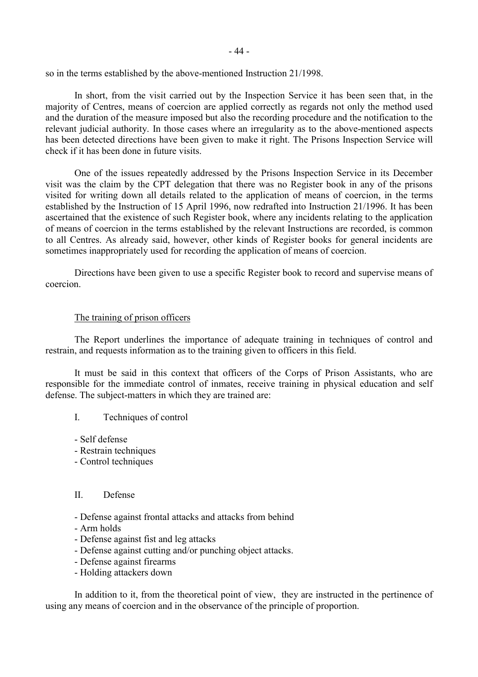- 44 -

so in the terms established by the above-mentioned Instruction 21/1998.

 In short, from the visit carried out by the Inspection Service it has been seen that, in the majority of Centres, means of coercion are applied correctly as regards not only the method used and the duration of the measure imposed but also the recording procedure and the notification to the relevant judicial authority. In those cases where an irregularity as to the above-mentioned aspects has been detected directions have been given to make it right. The Prisons Inspection Service will check if it has been done in future visits.

 One of the issues repeatedly addressed by the Prisons Inspection Service in its December visit was the claim by the CPT delegation that there was no Register book in any of the prisons visited for writing down all details related to the application of means of coercion, in the terms established by the Instruction of 15 April 1996, now redrafted into Instruction 21/1996. It has been ascertained that the existence of such Register book, where any incidents relating to the application of means of coercion in the terms established by the relevant Instructions are recorded, is common to all Centres. As already said, however, other kinds of Register books for general incidents are sometimes inappropriately used for recording the application of means of coercion.

 Directions have been given to use a specific Register book to record and supervise means of coercion.

# The training of prison officers

 The Report underlines the importance of adequate training in techniques of control and restrain, and requests information as to the training given to officers in this field.

 It must be said in this context that officers of the Corps of Prison Assistants, who are responsible for the immediate control of inmates, receive training in physical education and self defense. The subject-matters in which they are trained are:

- I. Techniques of control
- Self defense
- Restrain techniques
- Control techniques

### II. Defense

- Defense against frontal attacks and attacks from behind
- Arm holds
- Defense against fist and leg attacks
- Defense against cutting and/or punching object attacks.
- Defense against firearms
- Holding attackers down

 In addition to it, from the theoretical point of view, they are instructed in the pertinence of using any means of coercion and in the observance of the principle of proportion.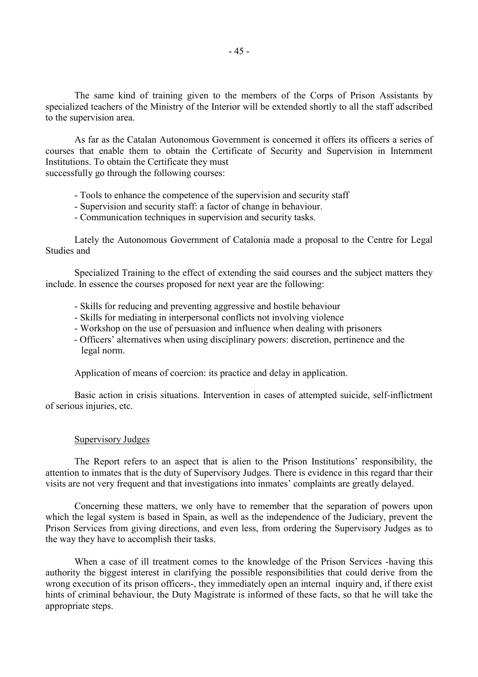The same kind of training given to the members of the Corps of Prison Assistants by specialized teachers of the Ministry of the Interior will be extended shortly to all the staff adscribed to the supervision area.

 As far as the Catalan Autonomous Government is concerned it offers its officers a series of courses that enable them to obtain the Certificate of Security and Supervision in Internment Institutions. To obtain the Certificate they must

successfully go through the following courses:

- Tools to enhance the competence of the supervision and security staff
- Supervision and security staff: a factor of change in behaviour.
- Communication techniques in supervision and security tasks.

 Lately the Autonomous Government of Catalonia made a proposal to the Centre for Legal Studies and

 Specialized Training to the effect of extending the said courses and the subject matters they include. In essence the courses proposed for next year are the following:

- Skills for reducing and preventing aggressive and hostile behaviour
- Skills for mediating in interpersonal conflicts not involving violence
- Workshop on the use of persuasion and influence when dealing with prisoners
- Officers' alternatives when using disciplinary powers: discretion, pertinence and the legal norm.

Application of means of coercion: its practice and delay in application.

 Basic action in crisis situations. Intervention in cases of attempted suicide, self-inflictment of serious injuries, etc.

### Supervisory Judges

 The Report refers to an aspect that is alien to the Prison Institutions' responsibility, the attention to inmates that is the duty of Supervisory Judges. There is evidence in this regard thar their visits are not very frequent and that investigations into inmates' complaints are greatly delayed.

 Concerning these matters, we only have to remember that the separation of powers upon which the legal system is based in Spain, as well as the independence of the Judiciary, prevent the Prison Services from giving directions, and even less, from ordering the Supervisory Judges as to the way they have to accomplish their tasks.

 When a case of ill treatment comes to the knowledge of the Prison Services -having this authority the biggest interest in clarifying the possible responsibilities that could derive from the wrong execution of its prison officers-, they immediately open an internal inquiry and, if there exist hints of criminal behaviour, the Duty Magistrate is informed of these facts, so that he will take the appropriate steps.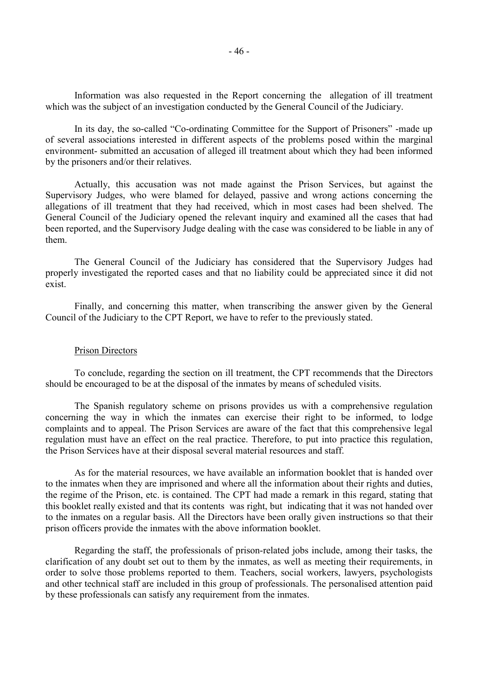Information was also requested in the Report concerning the allegation of ill treatment which was the subject of an investigation conducted by the General Council of the Judiciary.

 In its day, the so-called "Co-ordinating Committee for the Support of Prisoners" -made up of several associations interested in different aspects of the problems posed within the marginal environment- submitted an accusation of alleged ill treatment about which they had been informed by the prisoners and/or their relatives.

 Actually, this accusation was not made against the Prison Services, but against the Supervisory Judges, who were blamed for delayed, passive and wrong actions concerning the allegations of ill treatment that they had received, which in most cases had been shelved. The General Council of the Judiciary opened the relevant inquiry and examined all the cases that had been reported, and the Supervisory Judge dealing with the case was considered to be liable in any of them.

 The General Council of the Judiciary has considered that the Supervisory Judges had properly investigated the reported cases and that no liability could be appreciated since it did not exist.

 Finally, and concerning this matter, when transcribing the answer given by the General Council of the Judiciary to the CPT Report, we have to refer to the previously stated.

### Prison Directors

 To conclude, regarding the section on ill treatment, the CPT recommends that the Directors should be encouraged to be at the disposal of the inmates by means of scheduled visits.

 The Spanish regulatory scheme on prisons provides us with a comprehensive regulation concerning the way in which the inmates can exercise their right to be informed, to lodge complaints and to appeal. The Prison Services are aware of the fact that this comprehensive legal regulation must have an effect on the real practice. Therefore, to put into practice this regulation, the Prison Services have at their disposal several material resources and staff.

 As for the material resources, we have available an information booklet that is handed over to the inmates when they are imprisoned and where all the information about their rights and duties, the regime of the Prison, etc. is contained. The CPT had made a remark in this regard, stating that this booklet really existed and that its contents was right, but indicating that it was not handed over to the inmates on a regular basis. All the Directors have been orally given instructions so that their prison officers provide the inmates with the above information booklet.

 Regarding the staff, the professionals of prison-related jobs include, among their tasks, the clarification of any doubt set out to them by the inmates, as well as meeting their requirements, in order to solve those problems reported to them. Teachers, social workers, lawyers, psychologists and other technical staff are included in this group of professionals. The personalised attention paid by these professionals can satisfy any requirement from the inmates.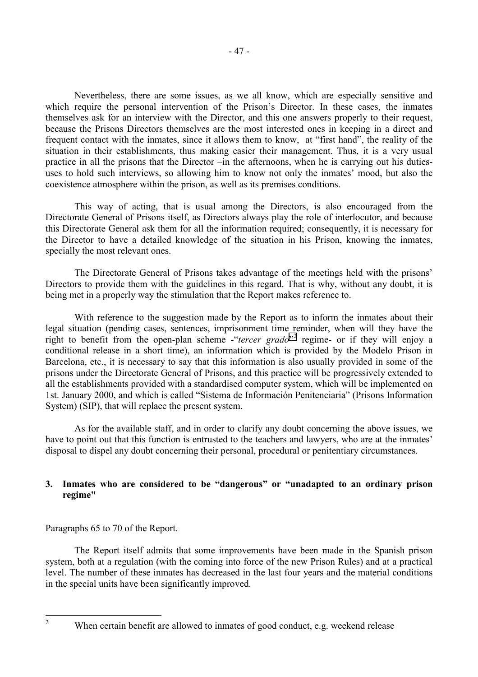Nevertheless, there are some issues, as we all know, which are especially sensitive and which require the personal intervention of the Prison's Director. In these cases, the inmates themselves ask for an interview with the Director, and this one answers properly to their request, because the Prisons Directors themselves are the most interested ones in keeping in a direct and frequent contact with the inmates, since it allows them to know, at "first hand", the reality of the situation in their establishments, thus making easier their management. Thus, it is a very usual practice in all the prisons that the Director –in the afternoons, when he is carrying out his dutiesuses to hold such interviews, so allowing him to know not only the inmates' mood, but also the coexistence atmosphere within the prison, as well as its premises conditions.

 This way of acting, that is usual among the Directors, is also encouraged from the Directorate General of Prisons itself, as Directors always play the role of interlocutor, and because this Directorate General ask them for all the information required; consequently, it is necessary for the Director to have a detailed knowledge of the situation in his Prison, knowing the inmates, specially the most relevant ones.

 The Directorate General of Prisons takes advantage of the meetings held with the prisons' Directors to provide them with the guidelines in this regard. That is why, without any doubt, it is being met in a properly way the stimulation that the Report makes reference to.

With reference to the suggestion made by the Report as to inform the inmates about their legal situation (pending cases, sentences, imprisonment time reminder, when will they have the right to benefit from the open-plan scheme -"*tercer grado*"<sup>2</sup> regime- or if they will enjoy a conditional release in a short time), an information which is provided by the Modelo Prison in Barcelona, etc., it is necessary to say that this information is also usually provided in some of the prisons under the Directorate General of Prisons, and this practice will be progressively extended to all the establishments provided with a standardised computer system, which will be implemented on 1st. January 2000, and which is called "Sistema de Información Penitenciaria" (Prisons Information System) (SIP), that will replace the present system.

 As for the available staff, and in order to clarify any doubt concerning the above issues, we have to point out that this function is entrusted to the teachers and lawyers, who are at the inmates' disposal to dispel any doubt concerning their personal, procedural or penitentiary circumstances.

# **3. Inmates who are considered to be "dangerous" or "unadapted to an ordinary prison regime"**

Paragraphs 65 to 70 of the Report.

 The Report itself admits that some improvements have been made in the Spanish prison system, both at a regulation (with the coming into force of the new Prison Rules) and at a practical level. The number of these inmates has decreased in the last four years and the material conditions in the special units have been significantly improved.

 $\frac{1}{2}$ 

When certain benefit are allowed to inmates of good conduct, e.g. weekend release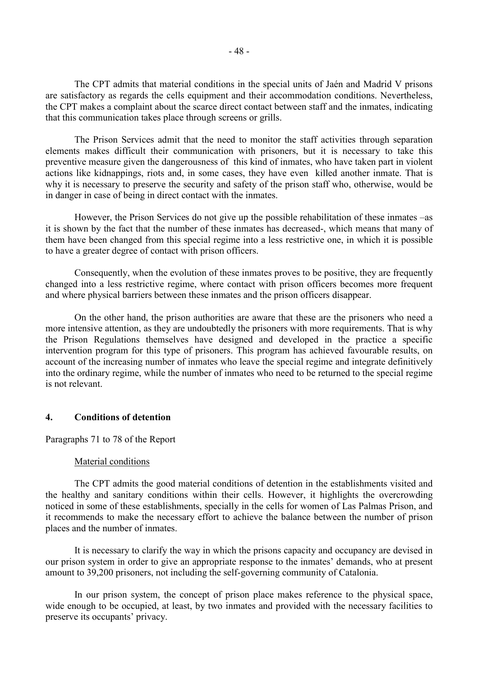The CPT admits that material conditions in the special units of Jaén and Madrid V prisons are satisfactory as regards the cells equipment and their accommodation conditions. Nevertheless, the CPT makes a complaint about the scarce direct contact between staff and the inmates, indicating that this communication takes place through screens or grills.

 The Prison Services admit that the need to monitor the staff activities through separation elements makes difficult their communication with prisoners, but it is necessary to take this preventive measure given the dangerousness of this kind of inmates, who have taken part in violent actions like kidnappings, riots and, in some cases, they have even killed another inmate. That is why it is necessary to preserve the security and safety of the prison staff who, otherwise, would be in danger in case of being in direct contact with the inmates.

 However, the Prison Services do not give up the possible rehabilitation of these inmates –as it is shown by the fact that the number of these inmates has decreased-, which means that many of them have been changed from this special regime into a less restrictive one, in which it is possible to have a greater degree of contact with prison officers.

 Consequently, when the evolution of these inmates proves to be positive, they are frequently changed into a less restrictive regime, where contact with prison officers becomes more frequent and where physical barriers between these inmates and the prison officers disappear.

 On the other hand, the prison authorities are aware that these are the prisoners who need a more intensive attention, as they are undoubtedly the prisoners with more requirements. That is why the Prison Regulations themselves have designed and developed in the practice a specific intervention program for this type of prisoners. This program has achieved favourable results, on account of the increasing number of inmates who leave the special regime and integrate definitively into the ordinary regime, while the number of inmates who need to be returned to the special regime is not relevant.

# **4. Conditions of detention**

### Paragraphs 71 to 78 of the Report

### Material conditions

 The CPT admits the good material conditions of detention in the establishments visited and the healthy and sanitary conditions within their cells. However, it highlights the overcrowding noticed in some of these establishments, specially in the cells for women of Las Palmas Prison, and it recommends to make the necessary effort to achieve the balance between the number of prison places and the number of inmates.

 It is necessary to clarify the way in which the prisons capacity and occupancy are devised in our prison system in order to give an appropriate response to the inmates' demands, who at present amount to 39,200 prisoners, not including the self-governing community of Catalonia.

 In our prison system, the concept of prison place makes reference to the physical space, wide enough to be occupied, at least, by two inmates and provided with the necessary facilities to preserve its occupants' privacy.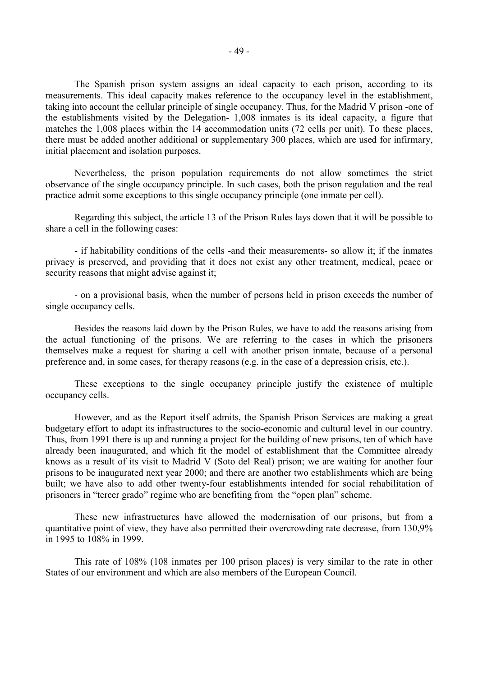The Spanish prison system assigns an ideal capacity to each prison, according to its measurements. This ideal capacity makes reference to the occupancy level in the establishment, taking into account the cellular principle of single occupancy. Thus, for the Madrid V prison -one of the establishments visited by the Delegation- 1,008 inmates is its ideal capacity, a figure that matches the 1,008 places within the 14 accommodation units (72 cells per unit). To these places, there must be added another additional or supplementary 300 places, which are used for infirmary, initial placement and isolation purposes.

 Nevertheless, the prison population requirements do not allow sometimes the strict observance of the single occupancy principle. In such cases, both the prison regulation and the real practice admit some exceptions to this single occupancy principle (one inmate per cell).

 Regarding this subject, the article 13 of the Prison Rules lays down that it will be possible to share a cell in the following cases:

 - if habitability conditions of the cells -and their measurements- so allow it; if the inmates privacy is preserved, and providing that it does not exist any other treatment, medical, peace or security reasons that might advise against it;

 - on a provisional basis, when the number of persons held in prison exceeds the number of single occupancy cells.

 Besides the reasons laid down by the Prison Rules, we have to add the reasons arising from the actual functioning of the prisons. We are referring to the cases in which the prisoners themselves make a request for sharing a cell with another prison inmate, because of a personal preference and, in some cases, for therapy reasons (e.g. in the case of a depression crisis, etc.).

 These exceptions to the single occupancy principle justify the existence of multiple occupancy cells.

 However, and as the Report itself admits, the Spanish Prison Services are making a great budgetary effort to adapt its infrastructures to the socio-economic and cultural level in our country. Thus, from 1991 there is up and running a project for the building of new prisons, ten of which have already been inaugurated, and which fit the model of establishment that the Committee already knows as a result of its visit to Madrid V (Soto del Real) prison; we are waiting for another four prisons to be inaugurated next year 2000; and there are another two establishments which are being built; we have also to add other twenty-four establishments intended for social rehabilitation of prisoners in "tercer grado" regime who are benefiting from the "open plan" scheme.

 These new infrastructures have allowed the modernisation of our prisons, but from a quantitative point of view, they have also permitted their overcrowding rate decrease, from 130,9% in 1995 to 108% in 1999.

 This rate of 108% (108 inmates per 100 prison places) is very similar to the rate in other States of our environment and which are also members of the European Council.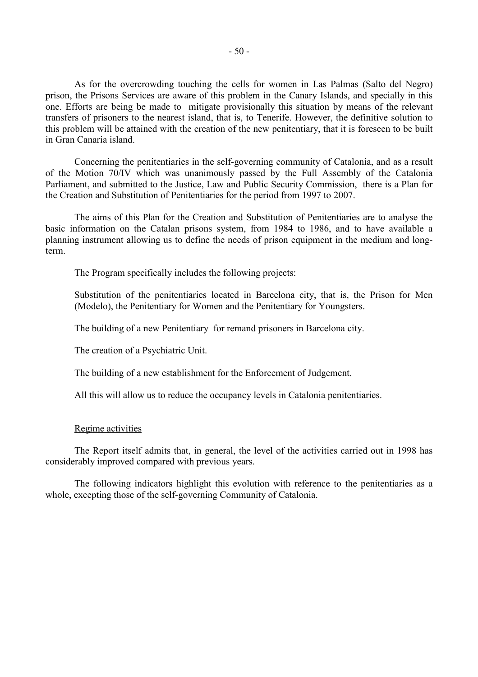As for the overcrowding touching the cells for women in Las Palmas (Salto del Negro) prison, the Prisons Services are aware of this problem in the Canary Islands, and specially in this one. Efforts are being be made to mitigate provisionally this situation by means of the relevant transfers of prisoners to the nearest island, that is, to Tenerife. However, the definitive solution to this problem will be attained with the creation of the new penitentiary, that it is foreseen to be built in Gran Canaria island.

 Concerning the penitentiaries in the self-governing community of Catalonia, and as a result of the Motion 70/IV which was unanimously passed by the Full Assembly of the Catalonia Parliament, and submitted to the Justice, Law and Public Security Commission, there is a Plan for the Creation and Substitution of Penitentiaries for the period from 1997 to 2007.

 The aims of this Plan for the Creation and Substitution of Penitentiaries are to analyse the basic information on the Catalan prisons system, from 1984 to 1986, and to have available a planning instrument allowing us to define the needs of prison equipment in the medium and longterm.

The Program specifically includes the following projects:

Substitution of the penitentiaries located in Barcelona city, that is, the Prison for Men (Modelo), the Penitentiary for Women and the Penitentiary for Youngsters.

The building of a new Penitentiary for remand prisoners in Barcelona city.

The creation of a Psychiatric Unit.

The building of a new establishment for the Enforcement of Judgement.

All this will allow us to reduce the occupancy levels in Catalonia penitentiaries.

#### Regime activities

 The Report itself admits that, in general, the level of the activities carried out in 1998 has considerably improved compared with previous years.

 The following indicators highlight this evolution with reference to the penitentiaries as a whole, excepting those of the self-governing Community of Catalonia.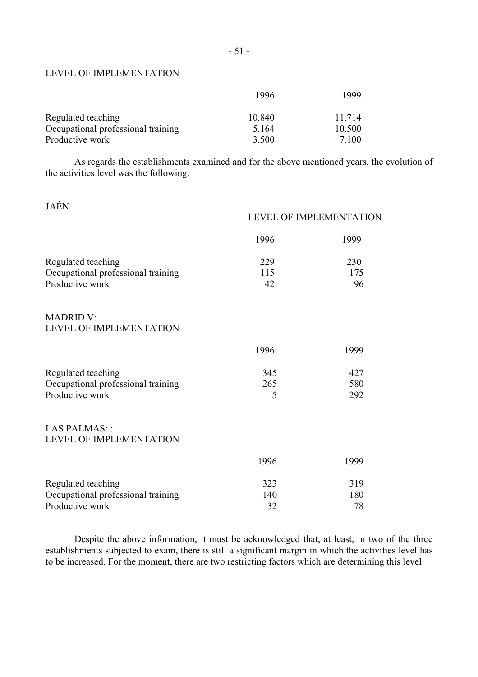### LEVEL OF IMPLEMENTATION

|                                    | 1996    | 1999   |
|------------------------------------|---------|--------|
| Regulated teaching                 | 10.840  | 11 714 |
| Occupational professional training | 5 1 6 4 | 10.500 |
| Productive work                    | 3.500   | 7 100  |

 As regards the establishments examined and for the above mentioned years, the evolution of the activities level was the following:

JAÉN

|                                                       | LEVEL OF IMPLEMENTATION |              |
|-------------------------------------------------------|-------------------------|--------------|
|                                                       | <u>1996</u>             | <u> 1999</u> |
| Regulated teaching                                    | 229<br>115              | 230<br>175   |
| Occupational professional training<br>Productive work | 42                      | 96           |
| <b>MADRID V:</b><br>LEVEL OF IMPLEMENTATION           |                         |              |
|                                                       | 1996                    | <u>1999</u>  |
| Regulated teaching                                    | 345                     | 427          |
| Occupational professional training<br>Productive work | 265<br>5                | 580<br>292   |
| <b>LAS PALMAS::</b><br>LEVEL OF IMPLEMENTATION        |                         |              |
|                                                       | <u>1996</u>             | <u> 1999</u> |
| Regulated teaching                                    | 323                     | 319          |
| Occupational professional training<br>Productive work | 140<br>32               | 180<br>78    |

 Despite the above information, it must be acknowledged that, at least, in two of the three establishments subjected to exam, there is still a significant margin in which the activities level has to be increased. For the moment, there are two restricting factors which are determining this level: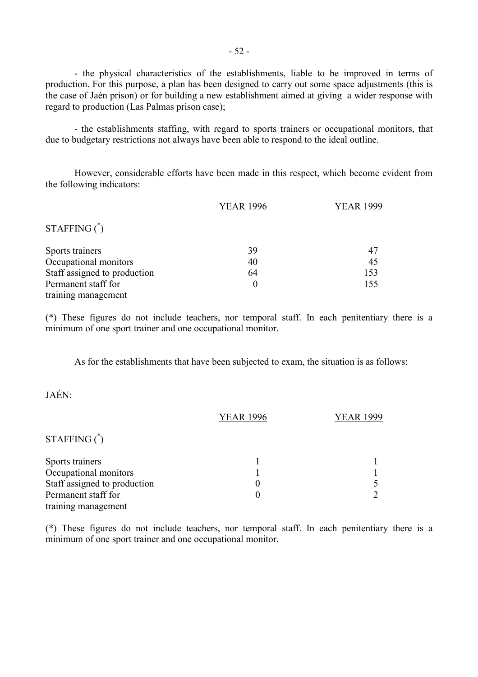- the physical characteristics of the establishments, liable to be improved in terms of production. For this purpose, a plan has been designed to carry out some space adjustments (this is the case of Jaén prison) or for building a new establishment aimed at giving a wider response with regard to production (Las Palmas prison case);

 - the establishments staffing, with regard to sports trainers or occupational monitors, that due to budgetary restrictions not always have been able to respond to the ideal outline.

 However, considerable efforts have been made in this respect, which become evident from the following indicators:

|                              | <b>YEAR 1996</b> | <b>YEAR 1999</b> |
|------------------------------|------------------|------------------|
| STAFFING $^*$                |                  |                  |
| Sports trainers              | 39               | 47               |
| Occupational monitors        | 40               | 45               |
| Staff assigned to production | 64               | 153              |
| Permanent staff for          | $\theta$         | 155              |
| training management          |                  |                  |

(\*) These figures do not include teachers, nor temporal staff. In each penitentiary there is a minimum of one sport trainer and one occupational monitor.

As for the establishments that have been subjected to exam, the situation is as follows:

JAÉN:

|                              | <b>YEAR 1996</b> | <b>YEAR 1999</b> |
|------------------------------|------------------|------------------|
| $STATEING*$                  |                  |                  |
| Sports trainers              |                  |                  |
| Occupational monitors        |                  |                  |
| Staff assigned to production |                  |                  |
| Permanent staff for          |                  |                  |
| training management          |                  |                  |

(\*) These figures do not include teachers, nor temporal staff. In each penitentiary there is a minimum of one sport trainer and one occupational monitor.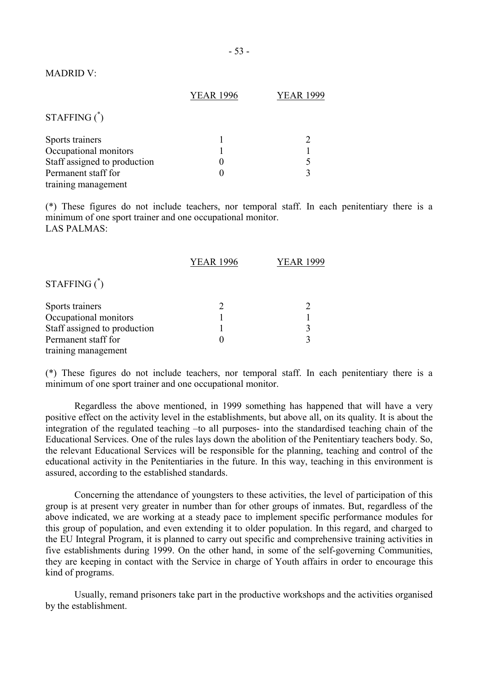### MADRID V:

|                              | <b>YEAR 1996</b> | YEAR 1999 |
|------------------------------|------------------|-----------|
| STAFFING $^*$                |                  |           |
| Sports trainers              |                  |           |
| Occupational monitors        |                  |           |
| Staff assigned to production |                  |           |
| Permanent staff for          |                  |           |
| training management          |                  |           |

(\*) These figures do not include teachers, nor temporal staff. In each penitentiary there is a minimum of one sport trainer and one occupational monitor. LAS PALMAS:

|                              | <b>YEAR 1996</b> | <b>YEAR 1999</b> |
|------------------------------|------------------|------------------|
| STAFFING $^*$                |                  |                  |
| Sports trainers              |                  |                  |
| Occupational monitors        |                  |                  |
| Staff assigned to production |                  | 3                |
| Permanent staff for          |                  | 3                |
| training management          |                  |                  |

(\*) These figures do not include teachers, nor temporal staff. In each penitentiary there is a minimum of one sport trainer and one occupational monitor.

 Regardless the above mentioned, in 1999 something has happened that will have a very positive effect on the activity level in the establishments, but above all, on its quality. It is about the integration of the regulated teaching –to all purposes- into the standardised teaching chain of the Educational Services. One of the rules lays down the abolition of the Penitentiary teachers body. So, the relevant Educational Services will be responsible for the planning, teaching and control of the educational activity in the Penitentiaries in the future. In this way, teaching in this environment is assured, according to the established standards.

 Concerning the attendance of youngsters to these activities, the level of participation of this group is at present very greater in number than for other groups of inmates. But, regardless of the above indicated, we are working at a steady pace to implement specific performance modules for this group of population, and even extending it to older population. In this regard, and charged to the EU Integral Program, it is planned to carry out specific and comprehensive training activities in five establishments during 1999. On the other hand, in some of the self-governing Communities, they are keeping in contact with the Service in charge of Youth affairs in order to encourage this kind of programs.

 Usually, remand prisoners take part in the productive workshops and the activities organised by the establishment.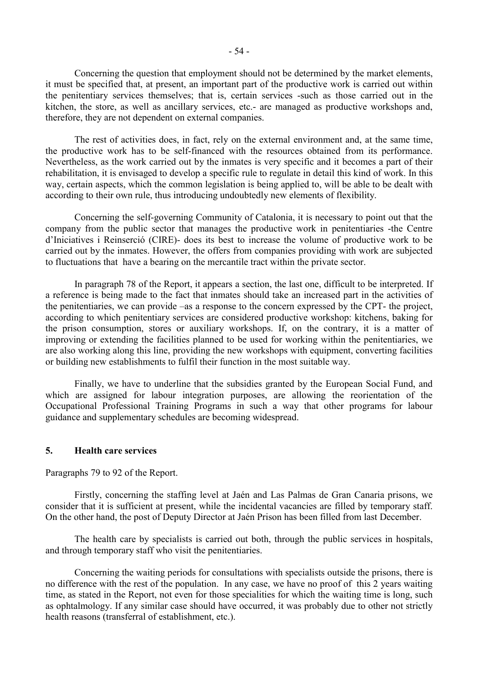Concerning the question that employment should not be determined by the market elements, it must be specified that, at present, an important part of the productive work is carried out within the penitentiary services themselves; that is, certain services -such as those carried out in the kitchen, the store, as well as ancillary services, etc.- are managed as productive workshops and, therefore, they are not dependent on external companies.

 The rest of activities does, in fact, rely on the external environment and, at the same time, the productive work has to be self-financed with the resources obtained from its performance. Nevertheless, as the work carried out by the inmates is very specific and it becomes a part of their rehabilitation, it is envisaged to develop a specific rule to regulate in detail this kind of work. In this way, certain aspects, which the common legislation is being applied to, will be able to be dealt with according to their own rule, thus introducing undoubtedly new elements of flexibility.

 Concerning the self-governing Community of Catalonia, it is necessary to point out that the company from the public sector that manages the productive work in penitentiaries -the Centre d'Iniciatives i Reinserció (CIRE)- does its best to increase the volume of productive work to be carried out by the inmates. However, the offers from companies providing with work are subjected to fluctuations that have a bearing on the mercantile tract within the private sector.

 In paragraph 78 of the Report, it appears a section, the last one, difficult to be interpreted. If a reference is being made to the fact that inmates should take an increased part in the activities of the penitentiaries, we can provide –as a response to the concern expressed by the CPT- the project, according to which penitentiary services are considered productive workshop: kitchens, baking for the prison consumption, stores or auxiliary workshops. If, on the contrary, it is a matter of improving or extending the facilities planned to be used for working within the penitentiaries, we are also working along this line, providing the new workshops with equipment, converting facilities or building new establishments to fulfil their function in the most suitable way.

 Finally, we have to underline that the subsidies granted by the European Social Fund, and which are assigned for labour integration purposes, are allowing the reorientation of the Occupational Professional Training Programs in such a way that other programs for labour guidance and supplementary schedules are becoming widespread.

# **5. Health care services**

Paragraphs 79 to 92 of the Report.

 Firstly, concerning the staffing level at Jaén and Las Palmas de Gran Canaria prisons, we consider that it is sufficient at present, while the incidental vacancies are filled by temporary staff. On the other hand, the post of Deputy Director at Jaén Prison has been filled from last December.

 The health care by specialists is carried out both, through the public services in hospitals, and through temporary staff who visit the penitentiaries.

 Concerning the waiting periods for consultations with specialists outside the prisons, there is no difference with the rest of the population. In any case, we have no proof of this 2 years waiting time, as stated in the Report, not even for those specialities for which the waiting time is long, such as ophtalmology. If any similar case should have occurred, it was probably due to other not strictly health reasons (transferral of establishment, etc.).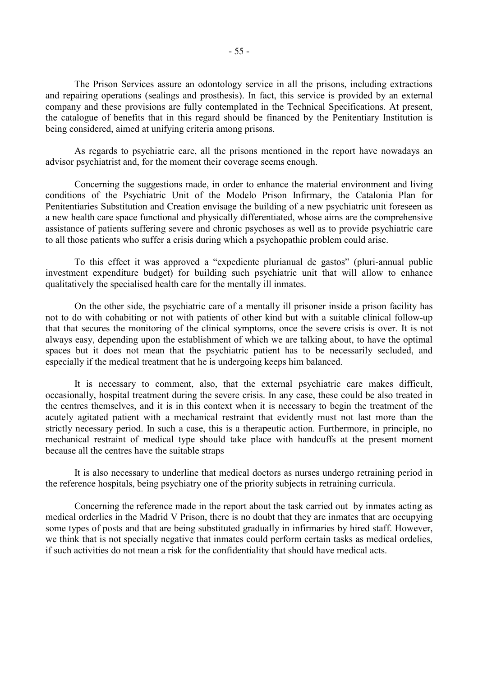The Prison Services assure an odontology service in all the prisons, including extractions and repairing operations (sealings and prosthesis). In fact, this service is provided by an external company and these provisions are fully contemplated in the Technical Specifications. At present, the catalogue of benefits that in this regard should be financed by the Penitentiary Institution is being considered, aimed at unifying criteria among prisons.

 As regards to psychiatric care, all the prisons mentioned in the report have nowadays an advisor psychiatrist and, for the moment their coverage seems enough.

 Concerning the suggestions made, in order to enhance the material environment and living conditions of the Psychiatric Unit of the Modelo Prison Infirmary, the Catalonia Plan for Penitentiaries Substitution and Creation envisage the building of a new psychiatric unit foreseen as a new health care space functional and physically differentiated, whose aims are the comprehensive assistance of patients suffering severe and chronic psychoses as well as to provide psychiatric care to all those patients who suffer a crisis during which a psychopathic problem could arise.

 To this effect it was approved a "expediente plurianual de gastos" (pluri-annual public investment expenditure budget) for building such psychiatric unit that will allow to enhance qualitatively the specialised health care for the mentally ill inmates.

 On the other side, the psychiatric care of a mentally ill prisoner inside a prison facility has not to do with cohabiting or not with patients of other kind but with a suitable clinical follow-up that that secures the monitoring of the clinical symptoms, once the severe crisis is over. It is not always easy, depending upon the establishment of which we are talking about, to have the optimal spaces but it does not mean that the psychiatric patient has to be necessarily secluded, and especially if the medical treatment that he is undergoing keeps him balanced.

 It is necessary to comment, also, that the external psychiatric care makes difficult, occasionally, hospital treatment during the severe crisis. In any case, these could be also treated in the centres themselves, and it is in this context when it is necessary to begin the treatment of the acutely agitated patient with a mechanical restraint that evidently must not last more than the strictly necessary period. In such a case, this is a therapeutic action. Furthermore, in principle, no mechanical restraint of medical type should take place with handcuffs at the present moment because all the centres have the suitable straps

 It is also necessary to underline that medical doctors as nurses undergo retraining period in the reference hospitals, being psychiatry one of the priority subjects in retraining curricula.

 Concerning the reference made in the report about the task carried out by inmates acting as medical orderlies in the Madrid V Prison, there is no doubt that they are inmates that are occupying some types of posts and that are being substituted gradually in infirmaries by hired staff. However, we think that is not specially negative that inmates could perform certain tasks as medical ordelies, if such activities do not mean a risk for the confidentiality that should have medical acts.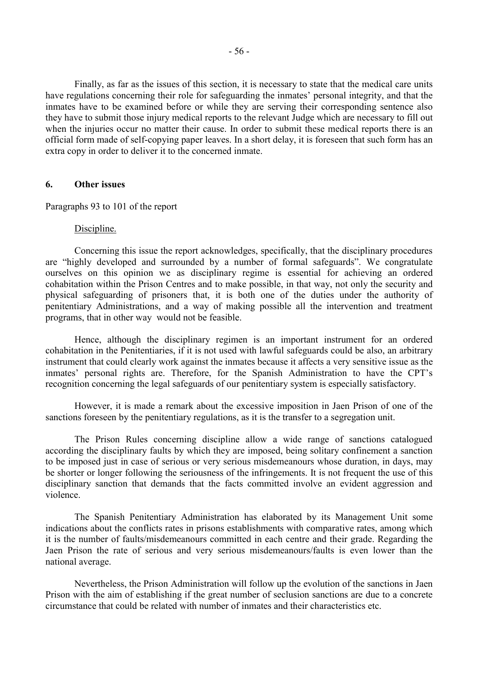Finally, as far as the issues of this section, it is necessary to state that the medical care units have regulations concerning their role for safeguarding the inmates' personal integrity, and that the inmates have to be examined before or while they are serving their corresponding sentence also they have to submit those injury medical reports to the relevant Judge which are necessary to fill out when the injuries occur no matter their cause. In order to submit these medical reports there is an official form made of self-copying paper leaves. In a short delay, it is foreseen that such form has an extra copy in order to deliver it to the concerned inmate.

# **6. Other issues**

Paragraphs 93 to 101 of the report

#### Discipline.

 Concerning this issue the report acknowledges, specifically, that the disciplinary procedures are "highly developed and surrounded by a number of formal safeguards". We congratulate ourselves on this opinion we as disciplinary regime is essential for achieving an ordered cohabitation within the Prison Centres and to make possible, in that way, not only the security and physical safeguarding of prisoners that, it is both one of the duties under the authority of penitentiary Administrations, and a way of making possible all the intervention and treatment programs, that in other way would not be feasible.

 Hence, although the disciplinary regimen is an important instrument for an ordered cohabitation in the Penitentiaries, if it is not used with lawful safeguards could be also, an arbitrary instrument that could clearly work against the inmates because it affects a very sensitive issue as the inmates' personal rights are. Therefore, for the Spanish Administration to have the CPT's recognition concerning the legal safeguards of our penitentiary system is especially satisfactory.

 However, it is made a remark about the excessive imposition in Jaen Prison of one of the sanctions foreseen by the penitentiary regulations, as it is the transfer to a segregation unit.

 The Prison Rules concerning discipline allow a wide range of sanctions catalogued according the disciplinary faults by which they are imposed, being solitary confinement a sanction to be imposed just in case of serious or very serious misdemeanours whose duration, in days, may be shorter or longer following the seriousness of the infringements. It is not frequent the use of this disciplinary sanction that demands that the facts committed involve an evident aggression and violence.

 The Spanish Penitentiary Administration has elaborated by its Management Unit some indications about the conflicts rates in prisons establishments with comparative rates, among which it is the number of faults/misdemeanours committed in each centre and their grade. Regarding the Jaen Prison the rate of serious and very serious misdemeanours/faults is even lower than the national average.

 Nevertheless, the Prison Administration will follow up the evolution of the sanctions in Jaen Prison with the aim of establishing if the great number of seclusion sanctions are due to a concrete circumstance that could be related with number of inmates and their characteristics etc.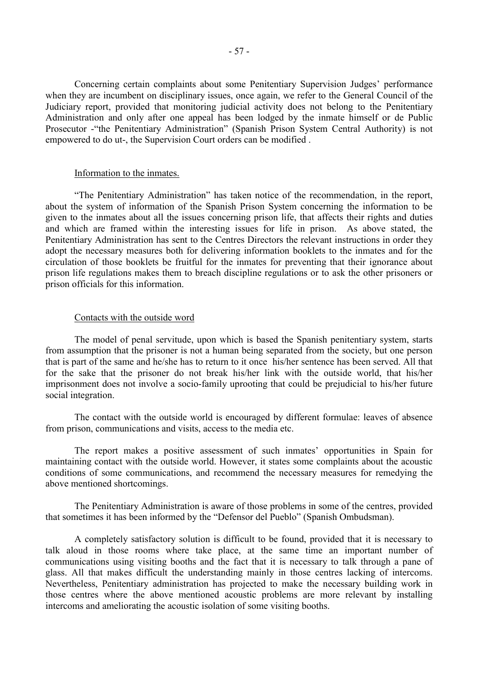Concerning certain complaints about some Penitentiary Supervision Judges' performance when they are incumbent on disciplinary issues, once again, we refer to the General Council of the Judiciary report, provided that monitoring judicial activity does not belong to the Penitentiary Administration and only after one appeal has been lodged by the inmate himself or de Public Prosecutor -"the Penitentiary Administration" (Spanish Prison System Central Authority) is not empowered to do ut-, the Supervision Court orders can be modified .

### Information to the inmates.

 "The Penitentiary Administration" has taken notice of the recommendation, in the report, about the system of information of the Spanish Prison System concerning the information to be given to the inmates about all the issues concerning prison life, that affects their rights and duties and which are framed within the interesting issues for life in prison. As above stated, the Penitentiary Administration has sent to the Centres Directors the relevant instructions in order they adopt the necessary measures both for delivering information booklets to the inmates and for the circulation of those booklets be fruitful for the inmates for preventing that their ignorance about prison life regulations makes them to breach discipline regulations or to ask the other prisoners or prison officials for this information.

#### Contacts with the outside word

 The model of penal servitude, upon which is based the Spanish penitentiary system, starts from assumption that the prisoner is not a human being separated from the society, but one person that is part of the same and he/she has to return to it once his/her sentence has been served. All that for the sake that the prisoner do not break his/her link with the outside world, that his/her imprisonment does not involve a socio-family uprooting that could be prejudicial to his/her future social integration.

 The contact with the outside world is encouraged by different formulae: leaves of absence from prison, communications and visits, access to the media etc.

 The report makes a positive assessment of such inmates' opportunities in Spain for maintaining contact with the outside world. However, it states some complaints about the acoustic conditions of some communications, and recommend the necessary measures for remedying the above mentioned shortcomings.

 The Penitentiary Administration is aware of those problems in some of the centres, provided that sometimes it has been informed by the "Defensor del Pueblo" (Spanish Ombudsman).

 A completely satisfactory solution is difficult to be found, provided that it is necessary to talk aloud in those rooms where take place, at the same time an important number of communications using visiting booths and the fact that it is necessary to talk through a pane of glass. All that makes difficult the understanding mainly in those centres lacking of intercoms. Nevertheless, Penitentiary administration has projected to make the necessary building work in those centres where the above mentioned acoustic problems are more relevant by installing intercoms and ameliorating the acoustic isolation of some visiting booths.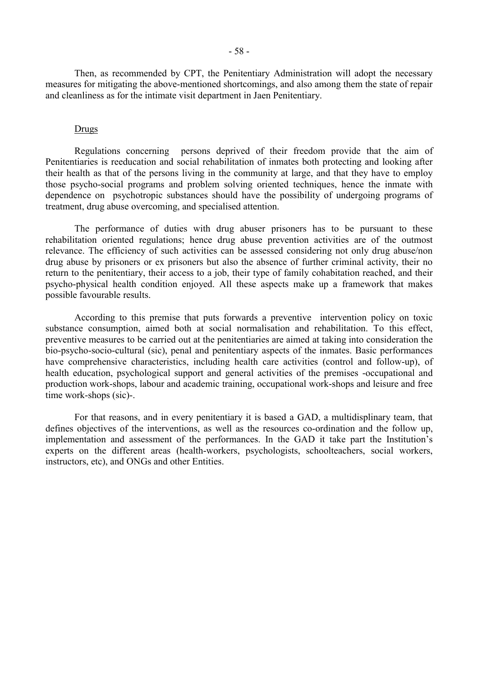Then, as recommended by CPT, the Penitentiary Administration will adopt the necessary measures for mitigating the above-mentioned shortcomings, and also among them the state of repair and cleanliness as for the intimate visit department in Jaen Penitentiary.

### **Drugs**

 Regulations concerning persons deprived of their freedom provide that the aim of Penitentiaries is reeducation and social rehabilitation of inmates both protecting and looking after their health as that of the persons living in the community at large, and that they have to employ those psycho-social programs and problem solving oriented techniques, hence the inmate with dependence on psychotropic substances should have the possibility of undergoing programs of treatment, drug abuse overcoming, and specialised attention.

 The performance of duties with drug abuser prisoners has to be pursuant to these rehabilitation oriented regulations; hence drug abuse prevention activities are of the outmost relevance. The efficiency of such activities can be assessed considering not only drug abuse/non drug abuse by prisoners or ex prisoners but also the absence of further criminal activity, their no return to the penitentiary, their access to a job, their type of family cohabitation reached, and their psycho-physical health condition enjoyed. All these aspects make up a framework that makes possible favourable results.

 According to this premise that puts forwards a preventive intervention policy on toxic substance consumption, aimed both at social normalisation and rehabilitation. To this effect, preventive measures to be carried out at the penitentiaries are aimed at taking into consideration the bio-psycho-socio-cultural (sic), penal and penitentiary aspects of the inmates. Basic performances have comprehensive characteristics, including health care activities (control and follow-up), of health education, psychological support and general activities of the premises -occupational and production work-shops, labour and academic training, occupational work-shops and leisure and free time work-shops (sic)-.

 For that reasons, and in every penitentiary it is based a GAD, a multidisplinary team, that defines objectives of the interventions, as well as the resources co-ordination and the follow up, implementation and assessment of the performances. In the GAD it take part the Institution's experts on the different areas (health-workers, psychologists, schoolteachers, social workers, instructors, etc), and ONGs and other Entities.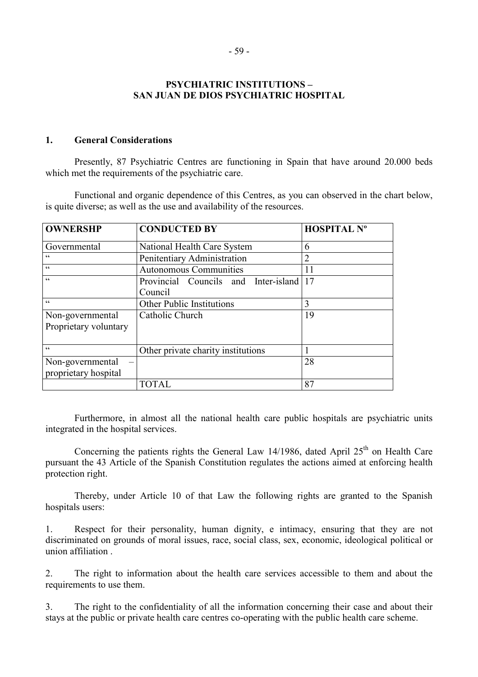# **PSYCHIATRIC INSTITUTIONS – SAN JUAN DE DIOS PSYCHIATRIC HOSPITAL**

### **1. General Considerations**

 Presently, 87 Psychiatric Centres are functioning in Spain that have around 20.000 beds which met the requirements of the psychiatric care.

 Functional and organic dependence of this Centres, as you can observed in the chart below, is quite diverse; as well as the use and availability of the resources.

| <b>OWNERSHP</b>       | <b>CONDUCTED BY</b>                  | <b>HOSPITAL Nº</b> |
|-----------------------|--------------------------------------|--------------------|
| Governmental          | National Health Care System          | 6                  |
| $\zeta \, \zeta$      | Penitentiary Administration          | 2                  |
| $\epsilon$            | <b>Autonomous Communities</b>        | 11                 |
| $\epsilon$            | Provincial Councils and Inter-island | 17                 |
|                       | Council                              |                    |
| $\epsilon$            | Other Public Institutions            | 3                  |
| Non-governmental      | Catholic Church                      | 19                 |
| Proprietary voluntary |                                      |                    |
|                       |                                      |                    |
| $\epsilon$            | Other private charity institutions   |                    |
| Non-governmental      |                                      | 28                 |
| proprietary hospital  |                                      |                    |
|                       | <b>TOTAL</b>                         | 87                 |

 Furthermore, in almost all the national health care public hospitals are psychiatric units integrated in the hospital services.

Concerning the patients rights the General Law 14/1986, dated April  $25<sup>th</sup>$  on Health Care pursuant the 43 Article of the Spanish Constitution regulates the actions aimed at enforcing health protection right.

 Thereby, under Article 10 of that Law the following rights are granted to the Spanish hospitals users:

1. Respect for their personality, human dignity, e intimacy, ensuring that they are not discriminated on grounds of moral issues, race, social class, sex, economic, ideological political or union affiliation .

2. The right to information about the health care services accessible to them and about the requirements to use them.

3. The right to the confidentiality of all the information concerning their case and about their stays at the public or private health care centres co-operating with the public health care scheme.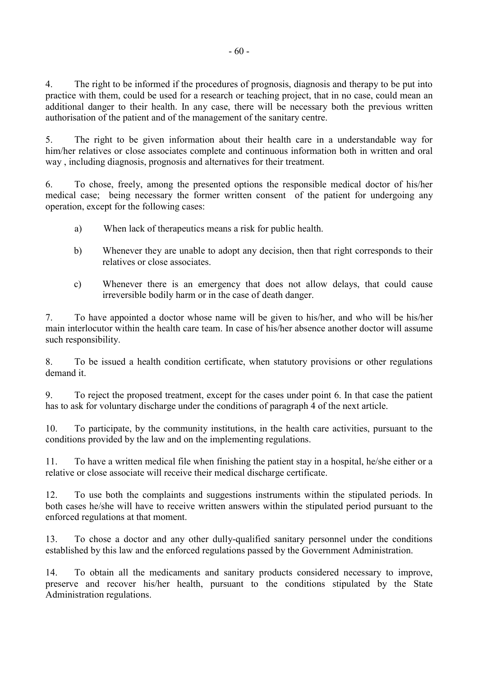4. The right to be informed if the procedures of prognosis, diagnosis and therapy to be put into practice with them, could be used for a research or teaching project, that in no case, could mean an additional danger to their health. In any case, there will be necessary both the previous written authorisation of the patient and of the management of the sanitary centre.

5. The right to be given information about their health care in a understandable way for him/her relatives or close associates complete and continuous information both in written and oral way , including diagnosis, prognosis and alternatives for their treatment.

6. To chose, freely, among the presented options the responsible medical doctor of his/her medical case; being necessary the former written consent of the patient for undergoing any operation, except for the following cases:

- a) When lack of therapeutics means a risk for public health.
- b) Whenever they are unable to adopt any decision, then that right corresponds to their relatives or close associates.
- c) Whenever there is an emergency that does not allow delays, that could cause irreversible bodily harm or in the case of death danger.

7. To have appointed a doctor whose name will be given to his/her, and who will be his/her main interlocutor within the health care team. In case of his/her absence another doctor will assume such responsibility.

8. To be issued a health condition certificate, when statutory provisions or other regulations demand it.

9. To reject the proposed treatment, except for the cases under point 6. In that case the patient has to ask for voluntary discharge under the conditions of paragraph 4 of the next article.

10. To participate, by the community institutions, in the health care activities, pursuant to the conditions provided by the law and on the implementing regulations.

11. To have a written medical file when finishing the patient stay in a hospital, he/she either or a relative or close associate will receive their medical discharge certificate.

12. To use both the complaints and suggestions instruments within the stipulated periods. In both cases he/she will have to receive written answers within the stipulated period pursuant to the enforced regulations at that moment.

13. To chose a doctor and any other dully-qualified sanitary personnel under the conditions established by this law and the enforced regulations passed by the Government Administration.

14. To obtain all the medicaments and sanitary products considered necessary to improve, preserve and recover his/her health, pursuant to the conditions stipulated by the State Administration regulations.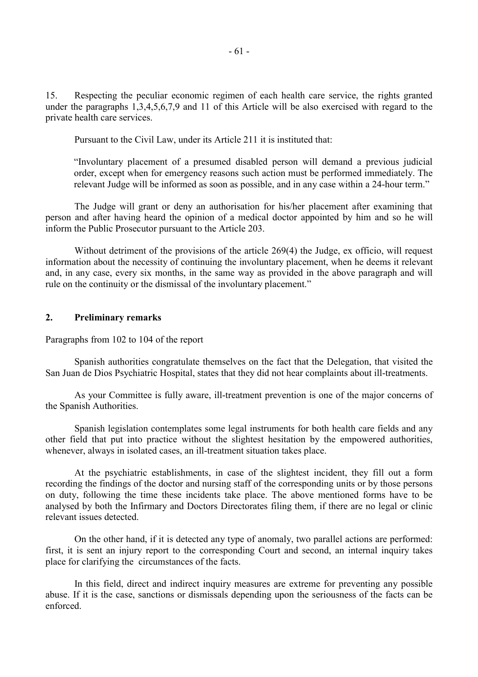15. Respecting the peculiar economic regimen of each health care service, the rights granted under the paragraphs 1,3,4,5,6,7,9 and 11 of this Article will be also exercised with regard to the private health care services.

Pursuant to the Civil Law, under its Article 211 it is instituted that:

"Involuntary placement of a presumed disabled person will demand a previous judicial order, except when for emergency reasons such action must be performed immediately. The relevant Judge will be informed as soon as possible, and in any case within a 24-hour term."

 The Judge will grant or deny an authorisation for his/her placement after examining that person and after having heard the opinion of a medical doctor appointed by him and so he will inform the Public Prosecutor pursuant to the Article 203.

 Without detriment of the provisions of the article 269(4) the Judge, ex officio, will request information about the necessity of continuing the involuntary placement, when he deems it relevant and, in any case, every six months, in the same way as provided in the above paragraph and will rule on the continuity or the dismissal of the involuntary placement."

# **2. Preliminary remarks**

Paragraphs from 102 to 104 of the report

 Spanish authorities congratulate themselves on the fact that the Delegation, that visited the San Juan de Dios Psychiatric Hospital, states that they did not hear complaints about ill-treatments.

 As your Committee is fully aware, ill-treatment prevention is one of the major concerns of the Spanish Authorities.

 Spanish legislation contemplates some legal instruments for both health care fields and any other field that put into practice without the slightest hesitation by the empowered authorities, whenever, always in isolated cases, an ill-treatment situation takes place.

 At the psychiatric establishments, in case of the slightest incident, they fill out a form recording the findings of the doctor and nursing staff of the corresponding units or by those persons on duty, following the time these incidents take place. The above mentioned forms have to be analysed by both the Infirmary and Doctors Directorates filing them, if there are no legal or clinic relevant issues detected.

 On the other hand, if it is detected any type of anomaly, two parallel actions are performed: first, it is sent an injury report to the corresponding Court and second, an internal inquiry takes place for clarifying the circumstances of the facts.

 In this field, direct and indirect inquiry measures are extreme for preventing any possible abuse. If it is the case, sanctions or dismissals depending upon the seriousness of the facts can be enforced.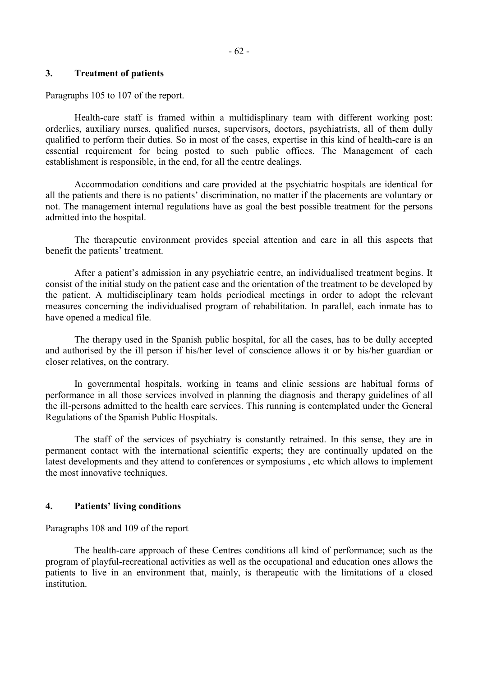# **3. Treatment of patients**

Paragraphs 105 to 107 of the report.

 Health-care staff is framed within a multidisplinary team with different working post: orderlies, auxiliary nurses, qualified nurses, supervisors, doctors, psychiatrists, all of them dully qualified to perform their duties. So in most of the cases, expertise in this kind of health-care is an essential requirement for being posted to such public offices. The Management of each establishment is responsible, in the end, for all the centre dealings.

 Accommodation conditions and care provided at the psychiatric hospitals are identical for all the patients and there is no patients' discrimination, no matter if the placements are voluntary or not. The management internal regulations have as goal the best possible treatment for the persons admitted into the hospital.

 The therapeutic environment provides special attention and care in all this aspects that benefit the patients' treatment.

 After a patient's admission in any psychiatric centre, an individualised treatment begins. It consist of the initial study on the patient case and the orientation of the treatment to be developed by the patient. A multidisciplinary team holds periodical meetings in order to adopt the relevant measures concerning the individualised program of rehabilitation. In parallel, each inmate has to have opened a medical file.

 The therapy used in the Spanish public hospital, for all the cases, has to be dully accepted and authorised by the ill person if his/her level of conscience allows it or by his/her guardian or closer relatives, on the contrary.

 In governmental hospitals, working in teams and clinic sessions are habitual forms of performance in all those services involved in planning the diagnosis and therapy guidelines of all the ill-persons admitted to the health care services. This running is contemplated under the General Regulations of the Spanish Public Hospitals.

 The staff of the services of psychiatry is constantly retrained. In this sense, they are in permanent contact with the international scientific experts; they are continually updated on the latest developments and they attend to conferences or symposiums , etc which allows to implement the most innovative techniques.

# **4. Patients' living conditions**

Paragraphs 108 and 109 of the report

 The health-care approach of these Centres conditions all kind of performance; such as the program of playful-recreational activities as well as the occupational and education ones allows the patients to live in an environment that, mainly, is therapeutic with the limitations of a closed institution.